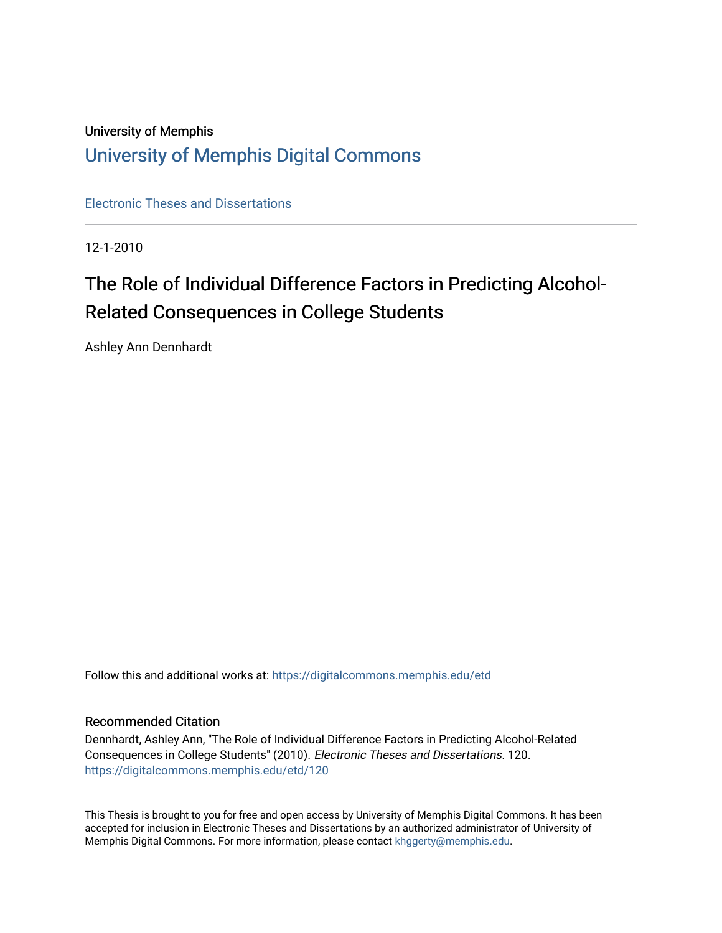## University of Memphis [University of Memphis Digital Commons](https://digitalcommons.memphis.edu/)

[Electronic Theses and Dissertations](https://digitalcommons.memphis.edu/etd)

12-1-2010

# The Role of Individual Difference Factors in Predicting Alcohol-Related Consequences in College Students

Ashley Ann Dennhardt

Follow this and additional works at: [https://digitalcommons.memphis.edu/etd](https://digitalcommons.memphis.edu/etd?utm_source=digitalcommons.memphis.edu%2Fetd%2F120&utm_medium=PDF&utm_campaign=PDFCoverPages) 

#### Recommended Citation

Dennhardt, Ashley Ann, "The Role of Individual Difference Factors in Predicting Alcohol-Related Consequences in College Students" (2010). Electronic Theses and Dissertations. 120. [https://digitalcommons.memphis.edu/etd/120](https://digitalcommons.memphis.edu/etd/120?utm_source=digitalcommons.memphis.edu%2Fetd%2F120&utm_medium=PDF&utm_campaign=PDFCoverPages) 

This Thesis is brought to you for free and open access by University of Memphis Digital Commons. It has been accepted for inclusion in Electronic Theses and Dissertations by an authorized administrator of University of Memphis Digital Commons. For more information, please contact [khggerty@memphis.edu.](mailto:khggerty@memphis.edu)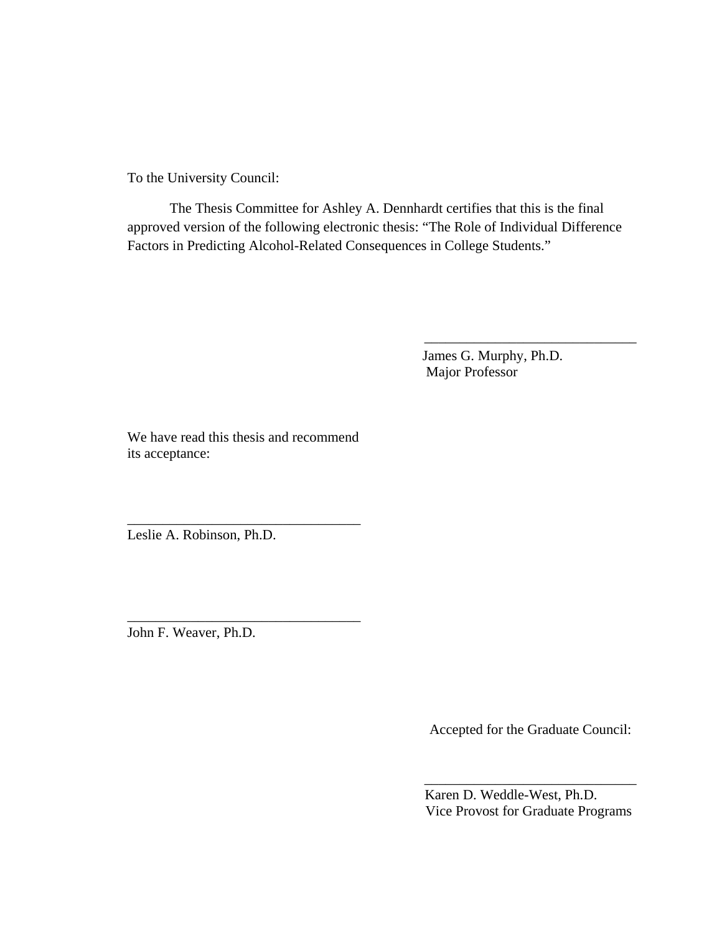To the University Council:

The Thesis Committee for Ashley A. Dennhardt certifies that this is the final approved version of the following electronic thesis: "The Role of Individual Difference Factors in Predicting Alcohol-Related Consequences in College Students."

> James G. Murphy, Ph.D. Major Professor

 $\overline{\phantom{a}}$  , and the set of the set of the set of the set of the set of the set of the set of the set of the set of the set of the set of the set of the set of the set of the set of the set of the set of the set of the s

We have read this thesis and recommend its acceptance:

\_\_\_\_\_\_\_\_\_\_\_\_\_\_\_\_\_\_\_\_\_\_\_\_\_\_\_\_\_\_\_\_\_

\_\_\_\_\_\_\_\_\_\_\_\_\_\_\_\_\_\_\_\_\_\_\_\_\_\_\_\_\_\_\_\_\_

Leslie A. Robinson, Ph.D.

John F. Weaver, Ph.D.

Accepted for the Graduate Council:

 Karen D. Weddle-West, Ph.D. Vice Provost for Graduate Programs

\_\_\_\_\_\_\_\_\_\_\_\_\_\_\_\_\_\_\_\_\_\_\_\_\_\_\_\_\_\_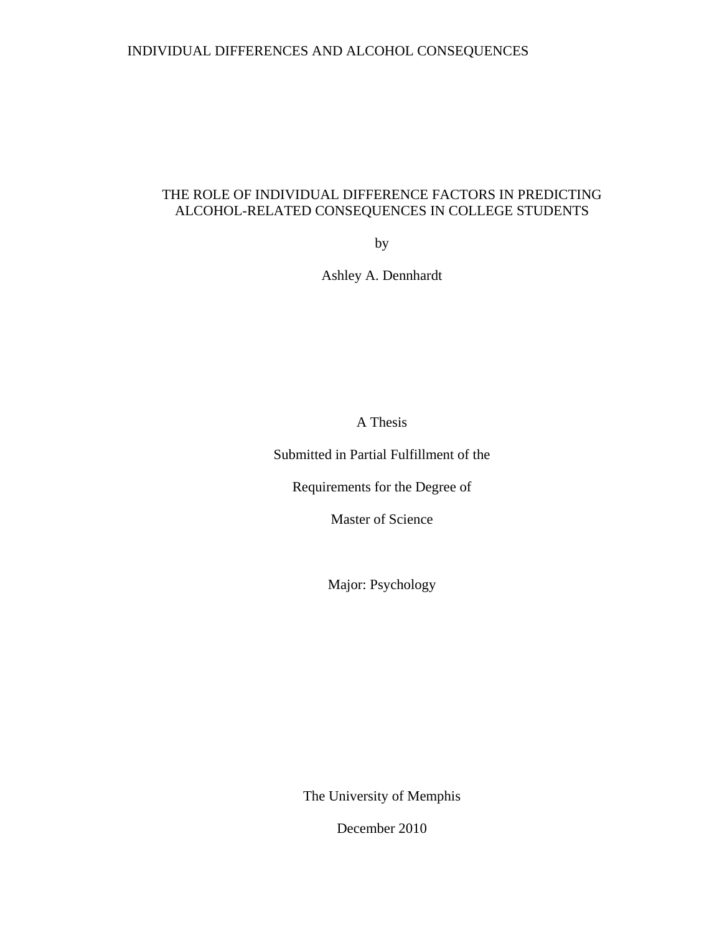### INDIVIDUAL DIFFERENCES AND ALCOHOL CONSEQUENCES

### THE ROLE OF INDIVIDUAL DIFFERENCE FACTORS IN PREDICTING ALCOHOL-RELATED CONSEQUENCES IN COLLEGE STUDENTS

by

Ashley A. Dennhardt

A Thesis

Submitted in Partial Fulfillment of the

Requirements for the Degree of

Master of Science

Major: Psychology

The University of Memphis

December 2010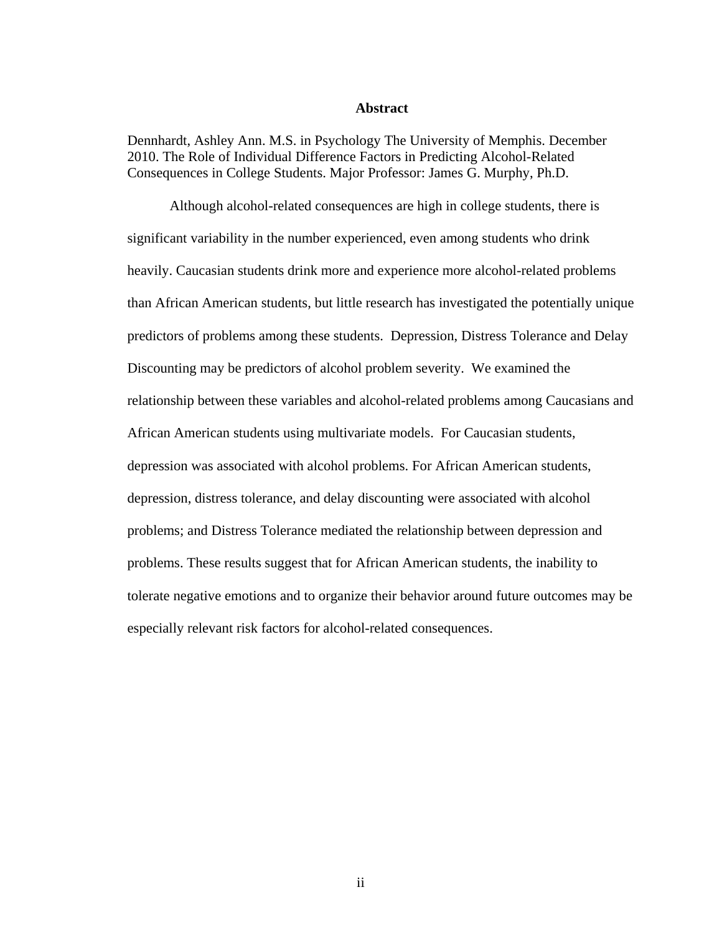#### **Abstract**

Dennhardt, Ashley Ann. M.S. in Psychology The University of Memphis. December 2010. The Role of Individual Difference Factors in Predicting Alcohol-Related Consequences in College Students. Major Professor: James G. Murphy, Ph.D.

Although alcohol-related consequences are high in college students, there is significant variability in the number experienced, even among students who drink heavily. Caucasian students drink more and experience more alcohol-related problems than African American students, but little research has investigated the potentially unique predictors of problems among these students. Depression, Distress Tolerance and Delay Discounting may be predictors of alcohol problem severity. We examined the relationship between these variables and alcohol-related problems among Caucasians and African American students using multivariate models. For Caucasian students, depression was associated with alcohol problems. For African American students, depression, distress tolerance, and delay discounting were associated with alcohol problems; and Distress Tolerance mediated the relationship between depression and problems. These results suggest that for African American students, the inability to tolerate negative emotions and to organize their behavior around future outcomes may be especially relevant risk factors for alcohol-related consequences.

ii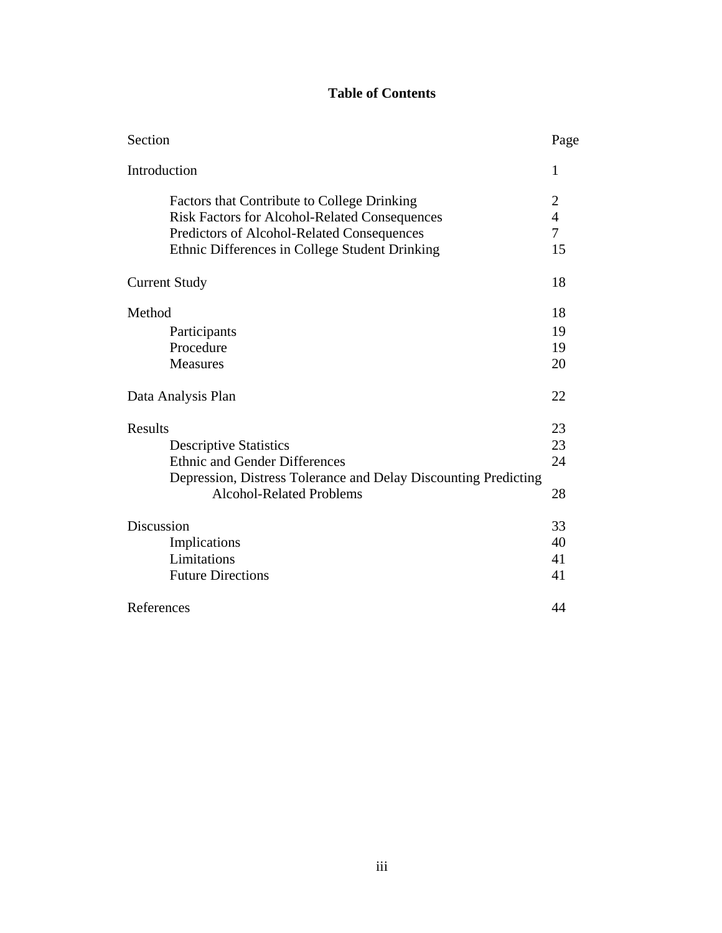## **Table of Contents**

| Section              |                                                                 | Page           |
|----------------------|-----------------------------------------------------------------|----------------|
| Introduction         |                                                                 | 1              |
|                      | Factors that Contribute to College Drinking                     | 2              |
|                      | <b>Risk Factors for Alcohol-Related Consequences</b>            | $\overline{4}$ |
|                      | Predictors of Alcohol-Related Consequences                      | 7              |
|                      | Ethnic Differences in College Student Drinking                  | 15             |
| <b>Current Study</b> |                                                                 | 18             |
| Method               |                                                                 | 18             |
|                      | Participants                                                    | 19             |
|                      | Procedure                                                       | 19             |
|                      | <b>Measures</b>                                                 | 20             |
| Data Analysis Plan   |                                                                 | 22             |
| <b>Results</b>       |                                                                 | 23             |
|                      | <b>Descriptive Statistics</b>                                   | 23             |
|                      | <b>Ethnic and Gender Differences</b>                            | 24             |
|                      | Depression, Distress Tolerance and Delay Discounting Predicting |                |
|                      | <b>Alcohol-Related Problems</b>                                 | 28             |
| Discussion           |                                                                 | 33             |
|                      | Implications                                                    | 40             |
|                      | Limitations                                                     | 41             |
|                      | <b>Future Directions</b>                                        | 41             |
| References           |                                                                 | 44             |
|                      |                                                                 |                |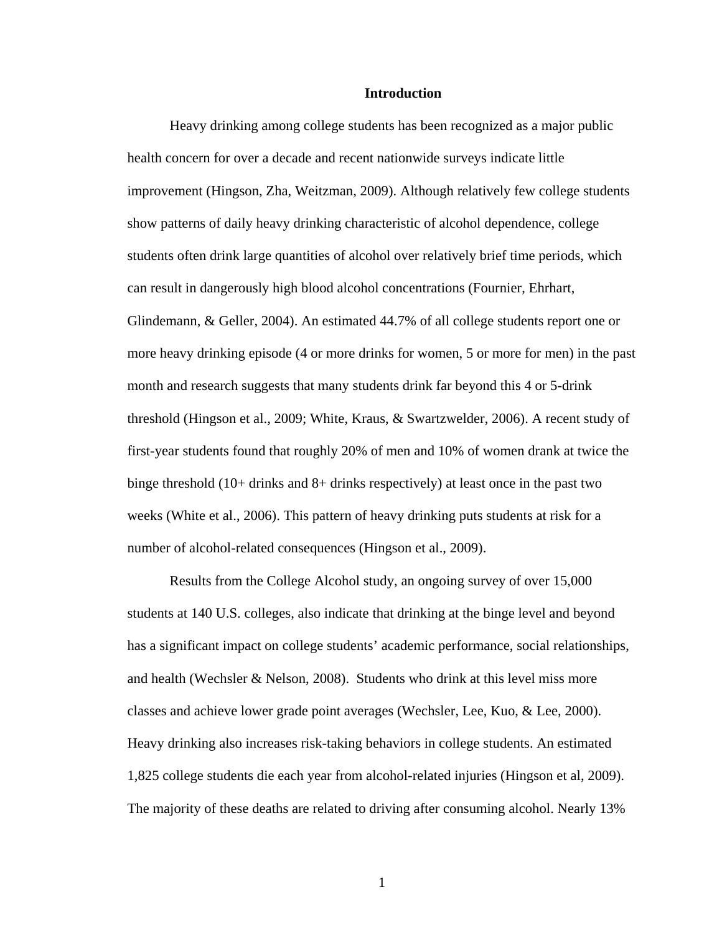#### **Introduction**

Heavy drinking among college students has been recognized as a major public health concern for over a decade and recent nationwide surveys indicate little improvement (Hingson, Zha, Weitzman, 2009). Although relatively few college students show patterns of daily heavy drinking characteristic of alcohol dependence, college students often drink large quantities of alcohol over relatively brief time periods, which can result in dangerously high blood alcohol concentrations (Fournier, Ehrhart, Glindemann, & Geller, 2004). An estimated 44.7% of all college students report one or more heavy drinking episode (4 or more drinks for women, 5 or more for men) in the past month and research suggests that many students drink far beyond this 4 or 5-drink threshold (Hingson et al., 2009; White, Kraus, & Swartzwelder, 2006). A recent study of first-year students found that roughly 20% of men and 10% of women drank at twice the binge threshold (10+ drinks and 8+ drinks respectively) at least once in the past two weeks (White et al., 2006). This pattern of heavy drinking puts students at risk for a number of alcohol-related consequences (Hingson et al., 2009).

Results from the College Alcohol study, an ongoing survey of over 15,000 students at 140 U.S. colleges, also indicate that drinking at the binge level and beyond has a significant impact on college students' academic performance, social relationships, and health (Wechsler & Nelson, 2008). Students who drink at this level miss more classes and achieve lower grade point averages (Wechsler, Lee, Kuo, & Lee, 2000). Heavy drinking also increases risk-taking behaviors in college students. An estimated 1,825 college students die each year from alcohol-related injuries (Hingson et al, 2009). The majority of these deaths are related to driving after consuming alcohol. Nearly 13%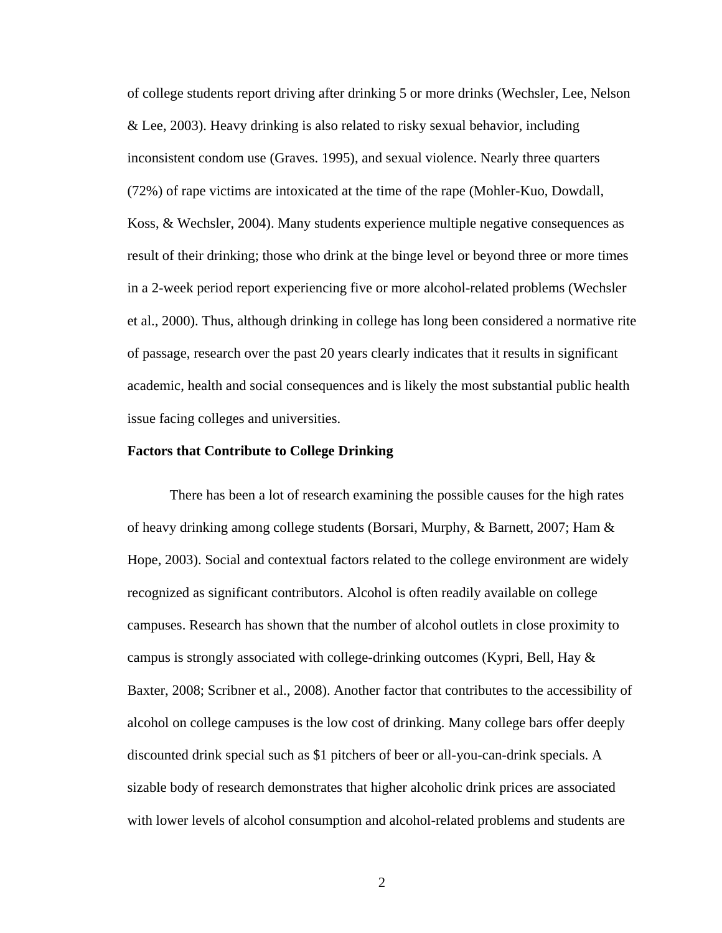of college students report driving after drinking 5 or more drinks (Wechsler, Lee, Nelson & Lee, 2003). Heavy drinking is also related to risky sexual behavior, including inconsistent condom use (Graves. 1995), and sexual violence. Nearly three quarters (72%) of rape victims are intoxicated at the time of the rape (Mohler-Kuo, Dowdall, Koss, & Wechsler, 2004). Many students experience multiple negative consequences as result of their drinking; those who drink at the binge level or beyond three or more times in a 2-week period report experiencing five or more alcohol-related problems (Wechsler et al., 2000). Thus, although drinking in college has long been considered a normative rite of passage, research over the past 20 years clearly indicates that it results in significant academic, health and social consequences and is likely the most substantial public health issue facing colleges and universities.

#### **Factors that Contribute to College Drinking**

There has been a lot of research examining the possible causes for the high rates of heavy drinking among college students (Borsari, Murphy, & Barnett, 2007; Ham & Hope, 2003). Social and contextual factors related to the college environment are widely recognized as significant contributors. Alcohol is often readily available on college campuses. Research has shown that the number of alcohol outlets in close proximity to campus is strongly associated with college*-*drinking outcomes (Kypri, Bell, Hay & Baxter, 2008; Scribner et al., 2008). Another factor that contributes to the accessibility of alcohol on college campuses is the low cost of drinking. Many college bars offer deeply discounted drink special such as \$1 pitchers of beer or all-you-can-drink specials. A sizable body of research demonstrates that higher alcoholic drink prices are associated with lower levels of alcohol consumption and alcohol-related problems and students are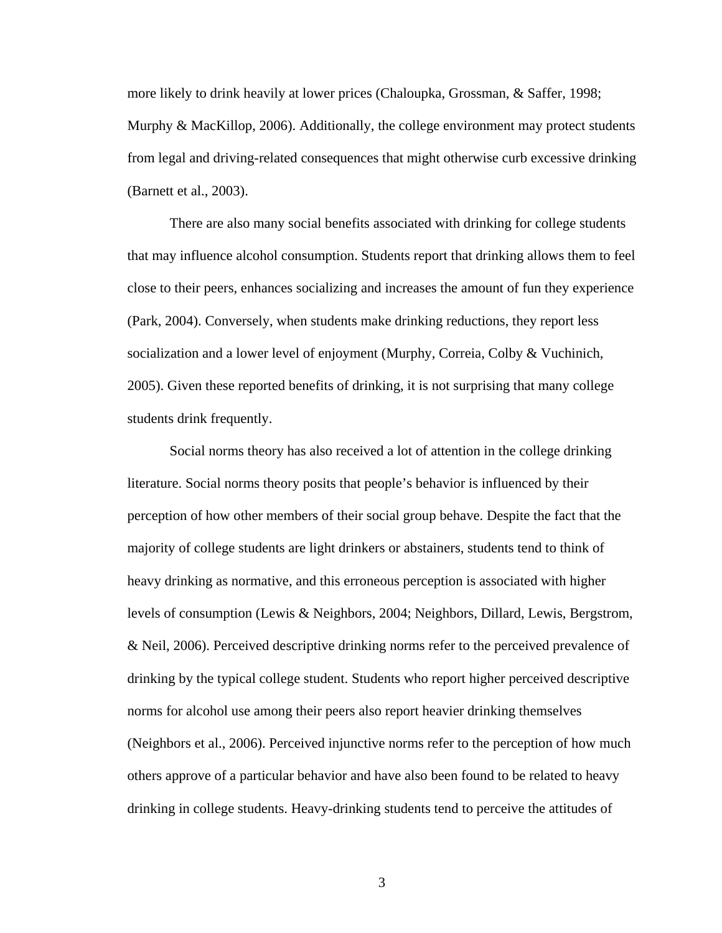more likely to drink heavily at lower prices (Chaloupka, Grossman, & Saffer, 1998; Murphy & MacKillop, 2006). Additionally, the college environment may protect students from legal and driving-related consequences that might otherwise curb excessive drinking (Barnett et al., 2003).

There are also many social benefits associated with drinking for college students that may influence alcohol consumption. Students report that drinking allows them to feel close to their peers, enhances socializing and increases the amount of fun they experience (Park, 2004). Conversely, when students make drinking reductions, they report less socialization and a lower level of enjoyment (Murphy, Correia, Colby & Vuchinich, 2005). Given these reported benefits of drinking, it is not surprising that many college students drink frequently.

Social norms theory has also received a lot of attention in the college drinking literature. Social norms theory posits that people's behavior is influenced by their perception of how other members of their social group behave. Despite the fact that the majority of college students are light drinkers or abstainers, students tend to think of heavy drinking as normative, and this erroneous perception is associated with higher levels of consumption (Lewis & Neighbors, 2004; Neighbors, Dillard, Lewis, Bergstrom, & Neil, 2006). Perceived descriptive drinking norms refer to the perceived prevalence of drinking by the typical college student. Students who report higher perceived descriptive norms for alcohol use among their peers also report heavier drinking themselves (Neighbors et al., 2006). Perceived injunctive norms refer to the perception of how much others approve of a particular behavior and have also been found to be related to heavy drinking in college students. Heavy-drinking students tend to perceive the attitudes of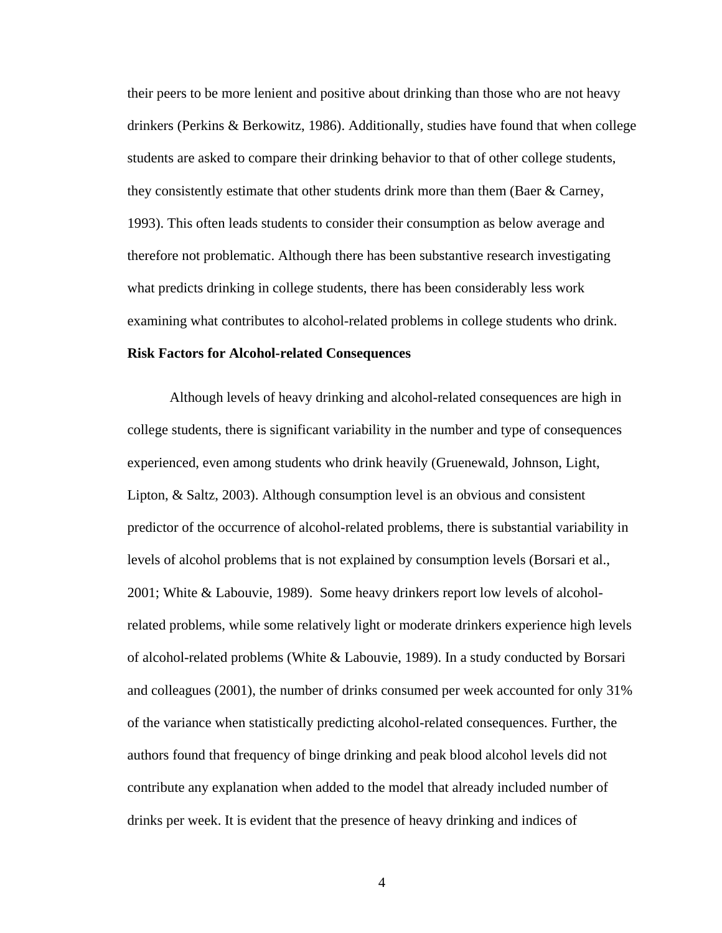their peers to be more lenient and positive about drinking than those who are not heavy drinkers (Perkins & Berkowitz, 1986). Additionally, studies have found that when college students are asked to compare their drinking behavior to that of other college students, they consistently estimate that other students drink more than them (Baer & Carney, 1993). This often leads students to consider their consumption as below average and therefore not problematic. Although there has been substantive research investigating what predicts drinking in college students, there has been considerably less work examining what contributes to alcohol-related problems in college students who drink.

#### **Risk Factors for Alcohol-related Consequences**

Although levels of heavy drinking and alcohol-related consequences are high in college students, there is significant variability in the number and type of consequences experienced, even among students who drink heavily (Gruenewald, Johnson, Light, Lipton, & Saltz, 2003). Although consumption level is an obvious and consistent predictor of the occurrence of alcohol-related problems, there is substantial variability in levels of alcohol problems that is not explained by consumption levels (Borsari et al., 2001; White & Labouvie, 1989). Some heavy drinkers report low levels of alcoholrelated problems, while some relatively light or moderate drinkers experience high levels of alcohol-related problems (White & Labouvie, 1989). In a study conducted by Borsari and colleagues (2001), the number of drinks consumed per week accounted for only 31% of the variance when statistically predicting alcohol-related consequences. Further, the authors found that frequency of binge drinking and peak blood alcohol levels did not contribute any explanation when added to the model that already included number of drinks per week. It is evident that the presence of heavy drinking and indices of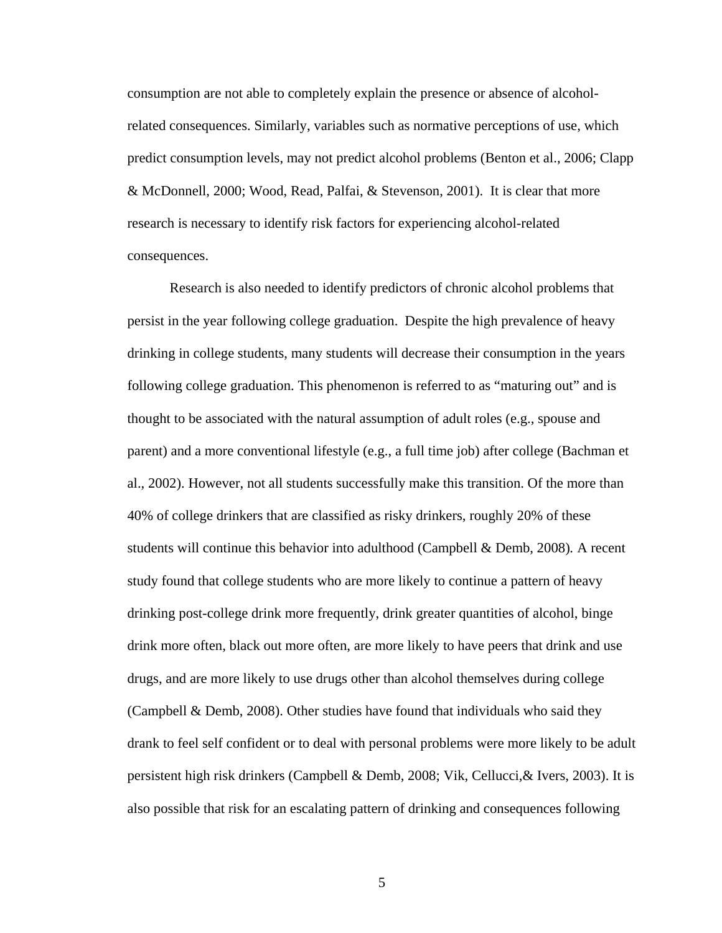consumption are not able to completely explain the presence or absence of alcoholrelated consequences. Similarly, variables such as normative perceptions of use, which predict consumption levels, may not predict alcohol problems [\(Benton et al., 2006;](http://www.pubmedcentral.nih.gov/articlerender.fcgi?artid=2443637#R11) Clapp & McDonnell, 2000; Wood, Read, Palfai, & Stevenson, 2001). It is clear that more research is necessary to identify risk factors for experiencing alcohol-related consequences.

Research is also needed to identify predictors of chronic alcohol problems that persist in the year following college graduation. Despite the high prevalence of heavy drinking in college students, many students will decrease their consumption in the years following college graduation. This phenomenon is referred to as "maturing out" and is thought to be associated with the natural assumption of adult roles (e.g., spouse and parent) and a more conventional lifestyle (e.g., a full time job) after college (Bachman et al., 2002). However, not all students successfully make this transition. Of the more than 40% of college drinkers that are classified as risky drinkers, roughly 20% of these students will continue this behavior into adulthood (Campbell & Demb, 2008)*.* A recent study found that college students who are more likely to continue a pattern of heavy drinking post-college drink more frequently, drink greater quantities of alcohol, binge drink more often, black out more often, are more likely to have peers that drink and use drugs, and are more likely to use drugs other than alcohol themselves during college (Campbell & Demb, 2008). Other studies have found that individuals who said they drank to feel self confident or to deal with personal problems were more likely to be adult persistent high risk drinkers (Campbell & Demb, 2008; Vik, Cellucci,& Ivers, 2003). It is also possible that risk for an escalating pattern of drinking and consequences following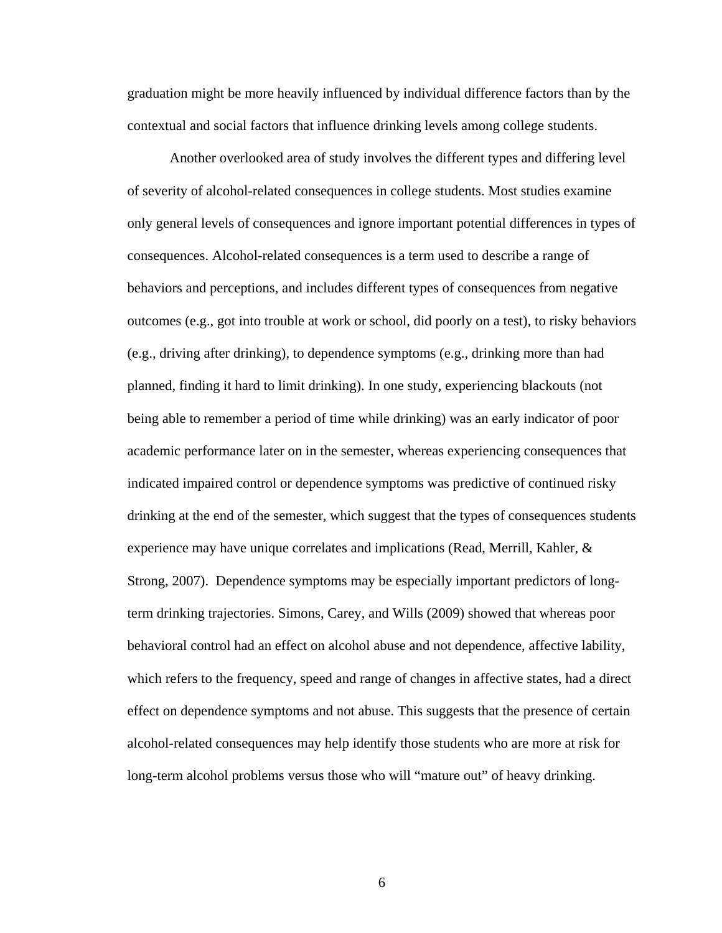graduation might be more heavily influenced by individual difference factors than by the contextual and social factors that influence drinking levels among college students.

Another overlooked area of study involves the different types and differing level of severity of alcohol-related consequences in college students. Most studies examine only general levels of consequences and ignore important potential differences in types of consequences. Alcohol-related consequences is a term used to describe a range of behaviors and perceptions, and includes different types of consequences from negative outcomes (e.g., got into trouble at work or school, did poorly on a test), to risky behaviors (e.g., driving after drinking), to dependence symptoms (e.g., drinking more than had planned, finding it hard to limit drinking). In one study, experiencing blackouts (not being able to remember a period of time while drinking) was an early indicator of poor academic performance later on in the semester, whereas experiencing consequences that indicated impaired control or dependence symptoms was predictive of continued risky drinking at the end of the semester, which suggest that the types of consequences students experience may have unique correlates and implications (Read, Merrill, Kahler, & Strong, 2007). Dependence symptoms may be especially important predictors of longterm drinking trajectories. Simons, Carey, and Wills (2009) showed that whereas poor behavioral control had an effect on alcohol abuse and not dependence, affective lability, which refers to the frequency, speed and range of changes in affective states, had a direct effect on dependence symptoms and not abuse. This suggests that the presence of certain alcohol-related consequences may help identify those students who are more at risk for long-term alcohol problems versus those who will "mature out" of heavy drinking.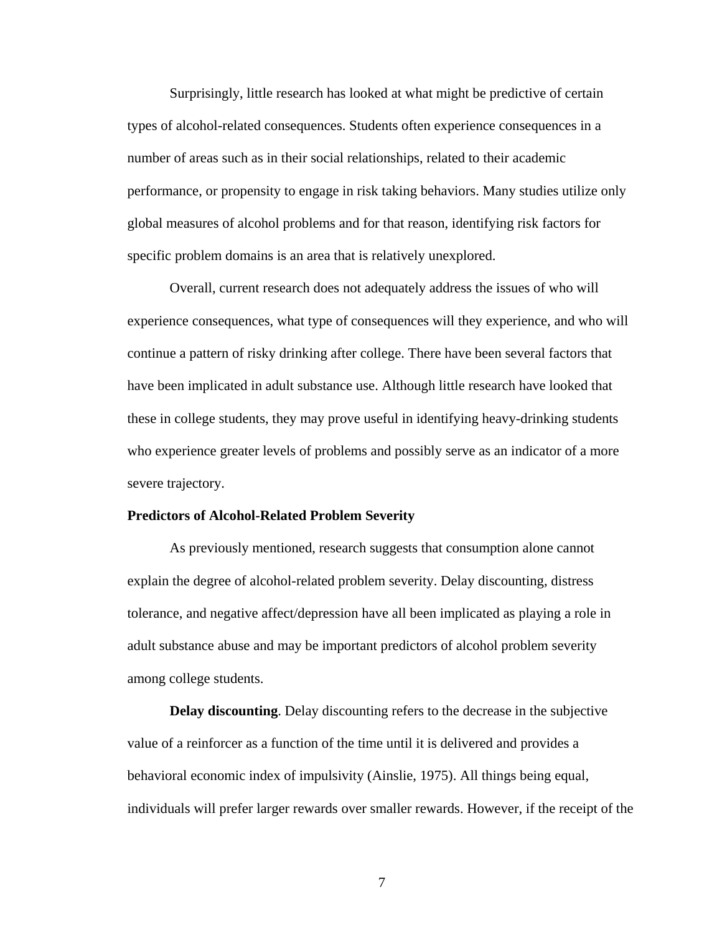Surprisingly, little research has looked at what might be predictive of certain types of alcohol-related consequences. Students often experience consequences in a number of areas such as in their social relationships, related to their academic performance, or propensity to engage in risk taking behaviors. Many studies utilize only global measures of alcohol problems and for that reason, identifying risk factors for specific problem domains is an area that is relatively unexplored.

Overall, current research does not adequately address the issues of who will experience consequences, what type of consequences will they experience, and who will continue a pattern of risky drinking after college. There have been several factors that have been implicated in adult substance use. Although little research have looked that these in college students, they may prove useful in identifying heavy-drinking students who experience greater levels of problems and possibly serve as an indicator of a more severe trajectory.

#### **Predictors of Alcohol-Related Problem Severity**

As previously mentioned, research suggests that consumption alone cannot explain the degree of alcohol-related problem severity. Delay discounting, distress tolerance, and negative affect/depression have all been implicated as playing a role in adult substance abuse and may be important predictors of alcohol problem severity among college students.

**Delay discounting**. Delay discounting refers to the decrease in the subjective value of a reinforcer as a function of the time until it is delivered and provides a behavioral economic index of impulsivity (Ainslie, 1975). All things being equal, individuals will prefer larger rewards over smaller rewards. However, if the receipt of the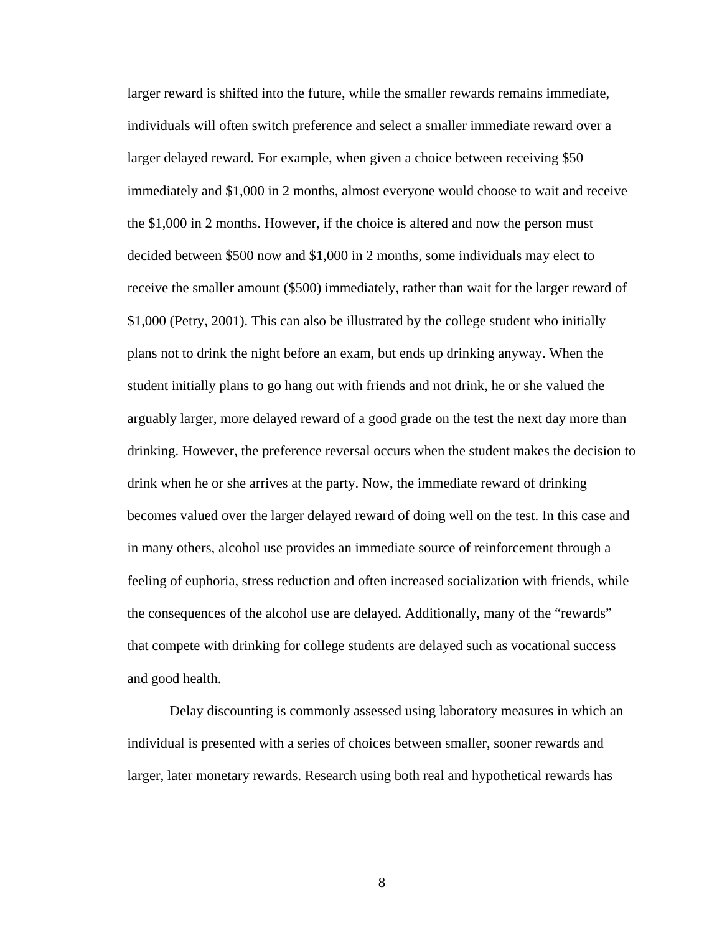larger reward is shifted into the future, while the smaller rewards remains immediate, individuals will often switch preference and select a smaller immediate reward over a larger delayed reward. For example, when given a choice between receiving \$50 immediately and \$1,000 in 2 months, almost everyone would choose to wait and receive the \$1,000 in 2 months. However, if the choice is altered and now the person must decided between \$500 now and \$1,000 in 2 months, some individuals may elect to receive the smaller amount (\$500) immediately, rather than wait for the larger reward of \$1,000 (Petry, 2001). This can also be illustrated by the college student who initially plans not to drink the night before an exam, but ends up drinking anyway. When the student initially plans to go hang out with friends and not drink, he or she valued the arguably larger, more delayed reward of a good grade on the test the next day more than drinking. However, the preference reversal occurs when the student makes the decision to drink when he or she arrives at the party. Now, the immediate reward of drinking becomes valued over the larger delayed reward of doing well on the test. In this case and in many others, alcohol use provides an immediate source of reinforcement through a feeling of euphoria, stress reduction and often increased socialization with friends, while the consequences of the alcohol use are delayed. Additionally, many of the "rewards" that compete with drinking for college students are delayed such as vocational success and good health.

Delay discounting is commonly assessed using laboratory measures in which an individual is presented with a series of choices between smaller, sooner rewards and larger, later monetary rewards. Research using both real and hypothetical rewards has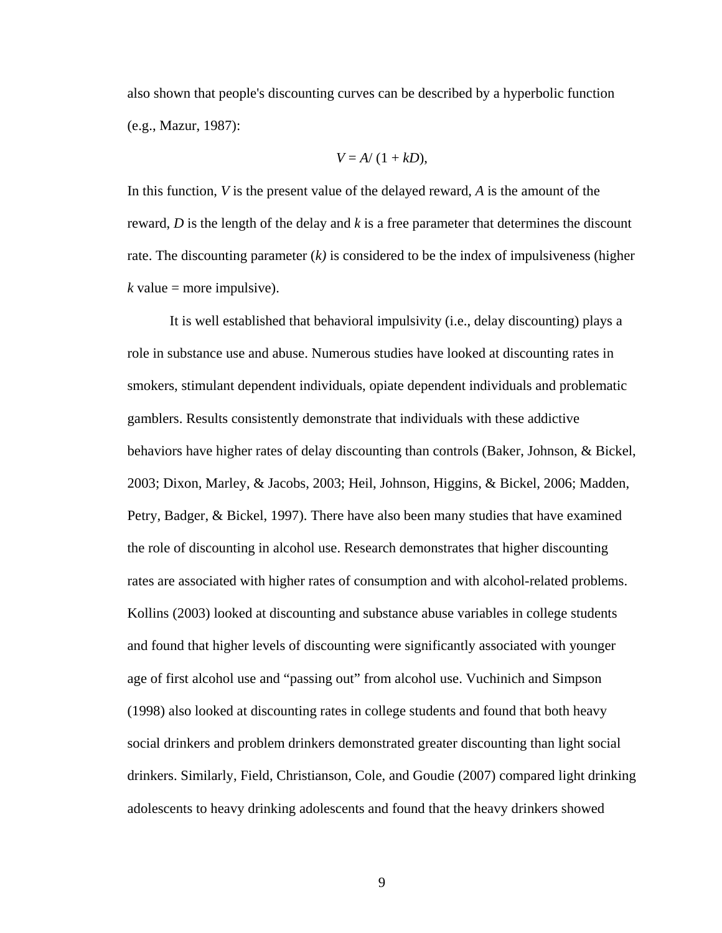also shown that people's discounting curves can be described by a hyperbolic function (e.g., Mazur, 1987):

$$
V = A/(1 + kD),
$$

In this function, *V* is the present value of the delayed reward, *A* is the amount of the reward, *D* is the length of the delay and *k* is a free parameter that determines the discount rate. The discounting parameter (*k)* is considered to be the index of impulsiveness (higher  $k$  value = more impulsive).

It is well established that behavioral impulsivity (i.e., delay discounting) plays a role in substance use and abuse. Numerous studies have looked at discounting rates in smokers, stimulant dependent individuals, opiate dependent individuals and problematic gamblers. Results consistently demonstrate that individuals with these addictive behaviors have higher rates of delay discounting than controls (Baker, Johnson, & Bickel, 2003; Dixon, Marley, & Jacobs, 2003; Heil, Johnson, Higgins, & Bickel, 2006; Madden, Petry, Badger, & Bickel, 1997). There have also been many studies that have examined the role of discounting in alcohol use. Research demonstrates that higher discounting rates are associated with higher rates of consumption and with alcohol-related problems. Kollins (2003) looked at discounting and substance abuse variables in college students and found that higher levels of discounting were significantly associated with younger age of first alcohol use and "passing out" from alcohol use. Vuchinich and Simpson (1998) also looked at discounting rates in college students and found that both heavy social drinkers and problem drinkers demonstrated greater discounting than light social drinkers. Similarly, Field, Christianson, Cole, and Goudie (2007) compared light drinking adolescents to heavy drinking adolescents and found that the heavy drinkers showed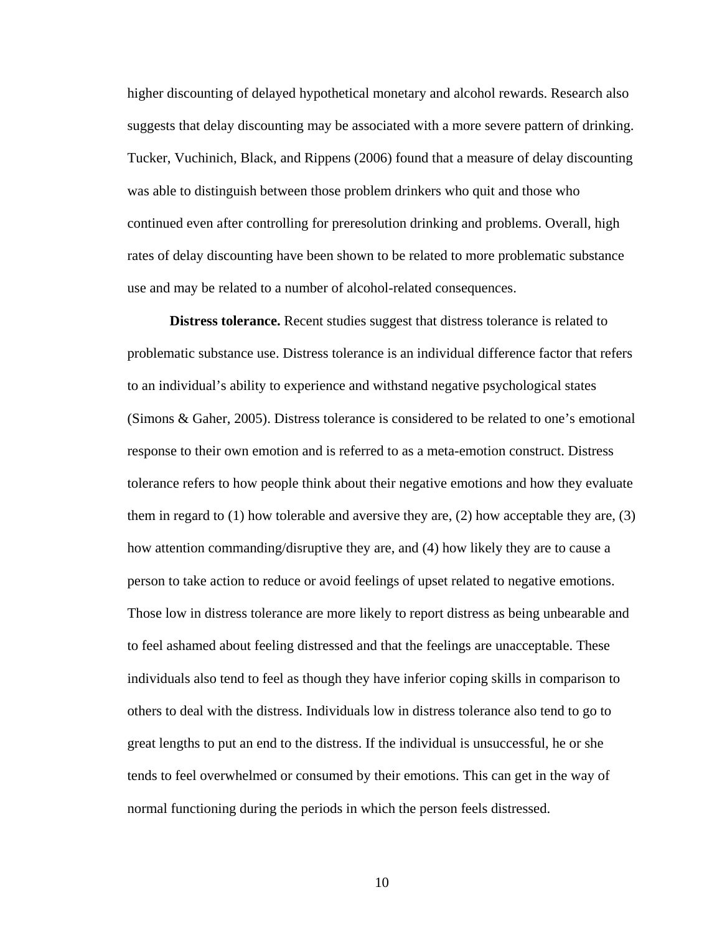higher discounting of delayed hypothetical monetary and alcohol rewards. Research also suggests that delay discounting may be associated with a more severe pattern of drinking. Tucker, Vuchinich, Black, and Rippens (2006) found that a measure of delay discounting was able to distinguish between those problem drinkers who quit and those who continued even after controlling for preresolution drinking and problems. Overall, high rates of delay discounting have been shown to be related to more problematic substance use and may be related to a number of alcohol-related consequences.

**Distress tolerance.** Recent studies suggest that distress tolerance is related to problematic substance use. Distress tolerance is an individual difference factor that refers to an individual's ability to experience and withstand negative psychological states (Simons & Gaher, 2005). Distress tolerance is considered to be related to one's emotional response to their own emotion and is referred to as a meta-emotion construct. Distress tolerance refers to how people think about their negative emotions and how they evaluate them in regard to (1) how tolerable and aversive they are, (2) how acceptable they are, (3) how attention commanding/disruptive they are, and (4) how likely they are to cause a person to take action to reduce or avoid feelings of upset related to negative emotions. Those low in distress tolerance are more likely to report distress as being unbearable and to feel ashamed about feeling distressed and that the feelings are unacceptable. These individuals also tend to feel as though they have inferior coping skills in comparison to others to deal with the distress. Individuals low in distress tolerance also tend to go to great lengths to put an end to the distress. If the individual is unsuccessful, he or she tends to feel overwhelmed or consumed by their emotions. This can get in the way of normal functioning during the periods in which the person feels distressed.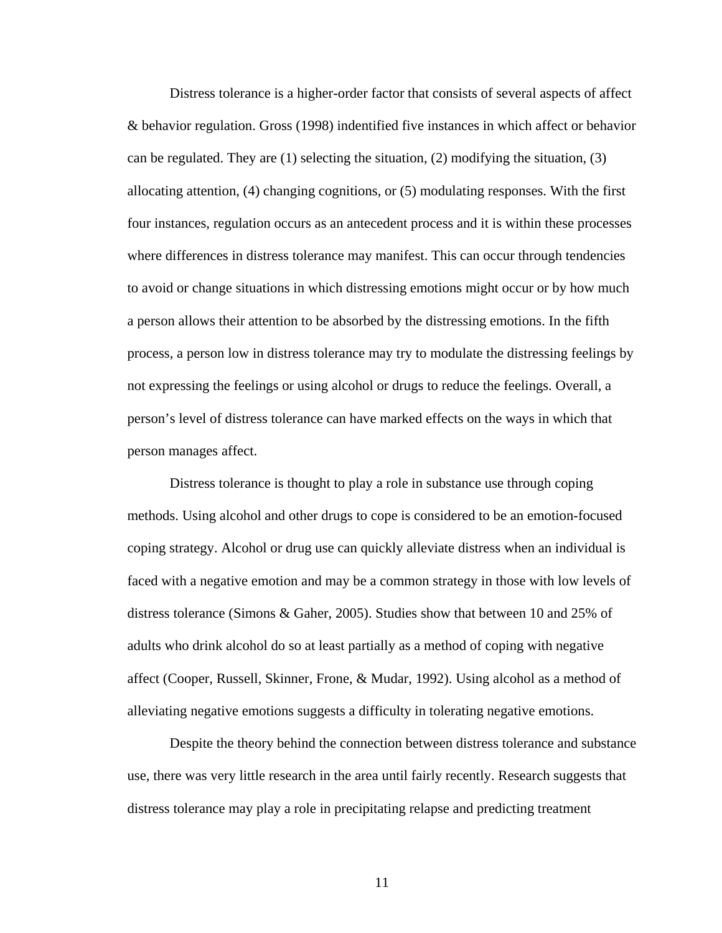Distress tolerance is a higher-order factor that consists of several aspects of affect & behavior regulation. Gross (1998) indentified five instances in which affect or behavior can be regulated. They are (1) selecting the situation, (2) modifying the situation, (3) allocating attention, (4) changing cognitions, or (5) modulating responses. With the first four instances, regulation occurs as an antecedent process and it is within these processes where differences in distress tolerance may manifest. This can occur through tendencies to avoid or change situations in which distressing emotions might occur or by how much a person allows their attention to be absorbed by the distressing emotions. In the fifth process, a person low in distress tolerance may try to modulate the distressing feelings by not expressing the feelings or using alcohol or drugs to reduce the feelings. Overall, a person's level of distress tolerance can have marked effects on the ways in which that person manages affect.

Distress tolerance is thought to play a role in substance use through coping methods. Using alcohol and other drugs to cope is considered to be an emotion-focused coping strategy. Alcohol or drug use can quickly alleviate distress when an individual is faced with a negative emotion and may be a common strategy in those with low levels of distress tolerance (Simons & Gaher, 2005). Studies show that between 10 and 25% of adults who drink alcohol do so at least partially as a method of coping with negative affect (Cooper, Russell, Skinner, Frone, & Mudar, 1992). Using alcohol as a method of alleviating negative emotions suggests a difficulty in tolerating negative emotions.

Despite the theory behind the connection between distress tolerance and substance use, there was very little research in the area until fairly recently. Research suggests that distress tolerance may play a role in precipitating relapse and predicting treatment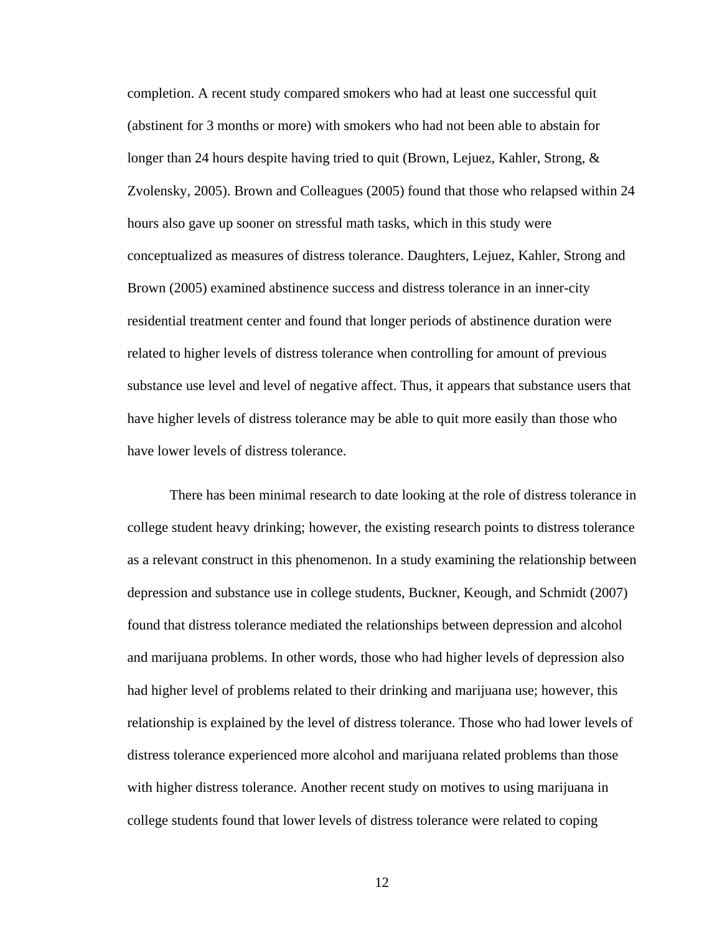completion. A recent study compared smokers who had at least one successful quit (abstinent for 3 months or more) with smokers who had not been able to abstain for longer than 24 hours despite having tried to quit (Brown, Lejuez, Kahler, Strong, & Zvolensky, 2005). Brown and Colleagues (2005) found that those who relapsed within 24 hours also gave up sooner on stressful math tasks, which in this study were conceptualized as measures of distress tolerance. Daughters, Lejuez, Kahler, Strong and Brown (2005) examined abstinence success and distress tolerance in an inner-city residential treatment center and found that longer periods of abstinence duration were related to higher levels of distress tolerance when controlling for amount of previous substance use level and level of negative affect. Thus, it appears that substance users that have higher levels of distress tolerance may be able to quit more easily than those who have lower levels of distress tolerance.

There has been minimal research to date looking at the role of distress tolerance in college student heavy drinking; however, the existing research points to distress tolerance as a relevant construct in this phenomenon. In a study examining the relationship between depression and substance use in college students, Buckner, Keough, and Schmidt (2007) found that distress tolerance mediated the relationships between depression and alcohol and marijuana problems. In other words, those who had higher levels of depression also had higher level of problems related to their drinking and marijuana use; however, this relationship is explained by the level of distress tolerance. Those who had lower levels of distress tolerance experienced more alcohol and marijuana related problems than those with higher distress tolerance. Another recent study on motives to using marijuana in college students found that lower levels of distress tolerance were related to coping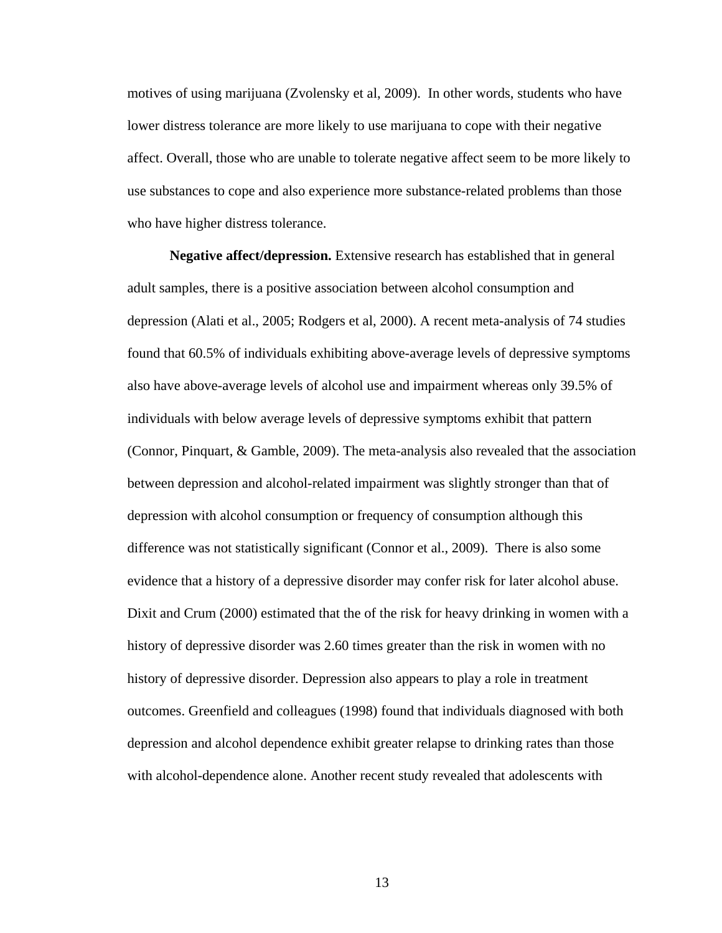motives of using marijuana (Zvolensky et al, 2009). In other words, students who have lower distress tolerance are more likely to use marijuana to cope with their negative affect. Overall, those who are unable to tolerate negative affect seem to be more likely to use substances to cope and also experience more substance-related problems than those who have higher distress tolerance.

**Negative affect/depression.** Extensive research has established that in general adult samples, there is a positive association between alcohol consumption and depression (Alati et al., 2005; Rodgers et al, 2000). A recent meta-analysis of 74 studies found that 60.5% of individuals exhibiting above-average levels of depressive symptoms also have above-average levels of alcohol use and impairment whereas only 39.5% of individuals with below average levels of depressive symptoms exhibit that pattern (Connor, Pinquart, & Gamble, 2009). The meta-analysis also revealed that the association between depression and alcohol-related impairment was slightly stronger than that of depression with alcohol consumption or frequency of consumption although this difference was not statistically significant (Connor et al., 2009). There is also some evidence that a history of a depressive disorder may confer risk for later alcohol abuse. Dixit and Crum (2000) estimated that the of the risk for heavy drinking in women with a history of depressive disorder was 2.60 times greater than the risk in women with no history of depressive disorder. Depression also appears to play a role in treatment outcomes. Greenfield and colleagues (1998) found that individuals diagnosed with both depression and alcohol dependence exhibit greater relapse to drinking rates than those with alcohol-dependence alone. Another recent study revealed that adolescents with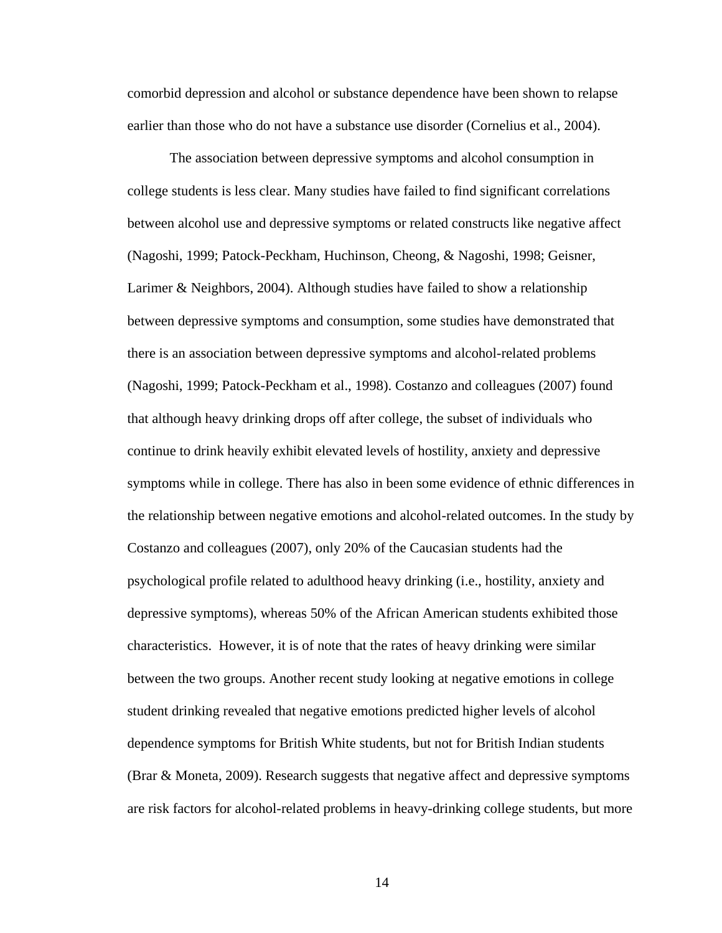comorbid depression and alcohol or substance dependence have been shown to relapse earlier than those who do not have a substance use disorder (Cornelius et al., 2004).

The association between depressive symptoms and alcohol consumption in college students is less clear. Many studies have failed to find significant correlations between alcohol use and depressive symptoms or related constructs like negative affect (Nagoshi, 1999; Patock-Peckham, Huchinson, Cheong, & Nagoshi, 1998; Geisner, Larimer & Neighbors, 2004). Although studies have failed to show a relationship between depressive symptoms and consumption, some studies have demonstrated that there is an association between depressive symptoms and alcohol-related problems (Nagoshi, 1999; Patock-Peckham et al., 1998). Costanzo and colleagues (2007) found that although heavy drinking drops off after college, the subset of individuals who continue to drink heavily exhibit elevated levels of hostility, anxiety and depressive symptoms while in college. There has also in been some evidence of ethnic differences in the relationship between negative emotions and alcohol-related outcomes. In the study by Costanzo and colleagues (2007), only 20% of the Caucasian students had the psychological profile related to adulthood heavy drinking (i.e., hostility, anxiety and depressive symptoms), whereas 50% of the African American students exhibited those characteristics. However, it is of note that the rates of heavy drinking were similar between the two groups. Another recent study looking at negative emotions in college student drinking revealed that negative emotions predicted higher levels of alcohol dependence symptoms for British White students, but not for British Indian students (Brar & Moneta, 2009). Research suggests that negative affect and depressive symptoms are risk factors for alcohol-related problems in heavy-drinking college students, but more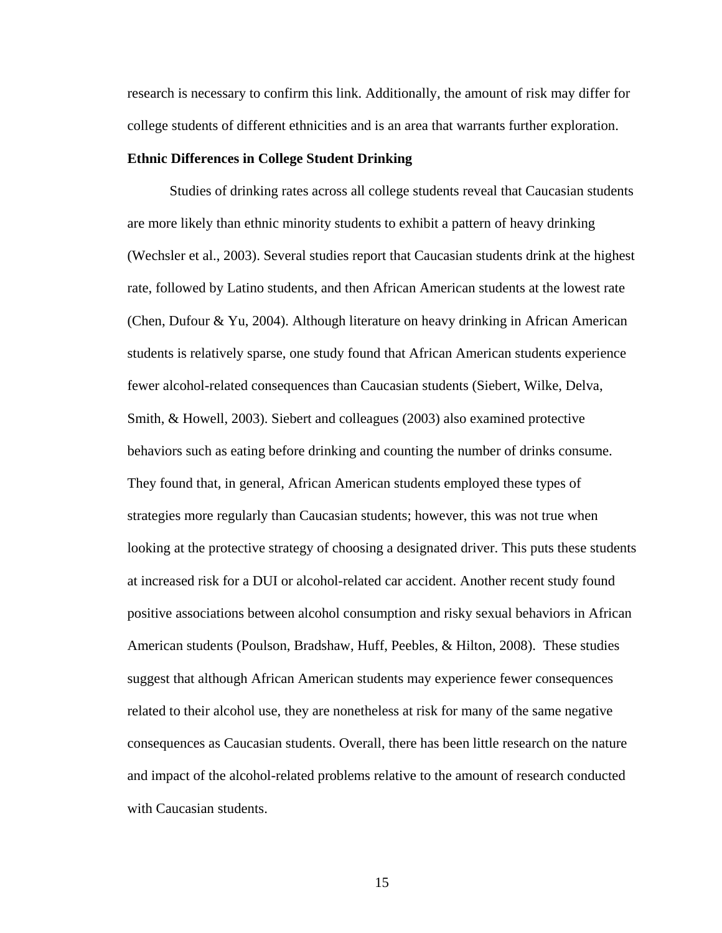research is necessary to confirm this link. Additionally, the amount of risk may differ for college students of different ethnicities and is an area that warrants further exploration.

#### **Ethnic Differences in College Student Drinking**

Studies of drinking rates across all college students reveal that Caucasian students are more likely than ethnic minority students to exhibit a pattern of heavy drinking (Wechsler et al., 2003). Several studies report that Caucasian students drink at the highest rate, followed by Latino students, and then African American students at the lowest rate (Chen, Dufour & Yu, 2004). Although literature on heavy drinking in African American students is relatively sparse, one study found that African American students experience fewer alcohol-related consequences than Caucasian students (Siebert, Wilke, Delva, Smith, & Howell, 2003). Siebert and colleagues (2003) also examined protective behaviors such as eating before drinking and counting the number of drinks consume. They found that, in general, African American students employed these types of strategies more regularly than Caucasian students; however, this was not true when looking at the protective strategy of choosing a designated driver. This puts these students at increased risk for a DUI or alcohol-related car accident. Another recent study found positive associations between alcohol consumption and risky sexual behaviors in African American students (Poulson, Bradshaw, Huff, Peebles, & Hilton, 2008). These studies suggest that although African American students may experience fewer consequences related to their alcohol use, they are nonetheless at risk for many of the same negative consequences as Caucasian students. Overall, there has been little research on the nature and impact of the alcohol-related problems relative to the amount of research conducted with Caucasian students.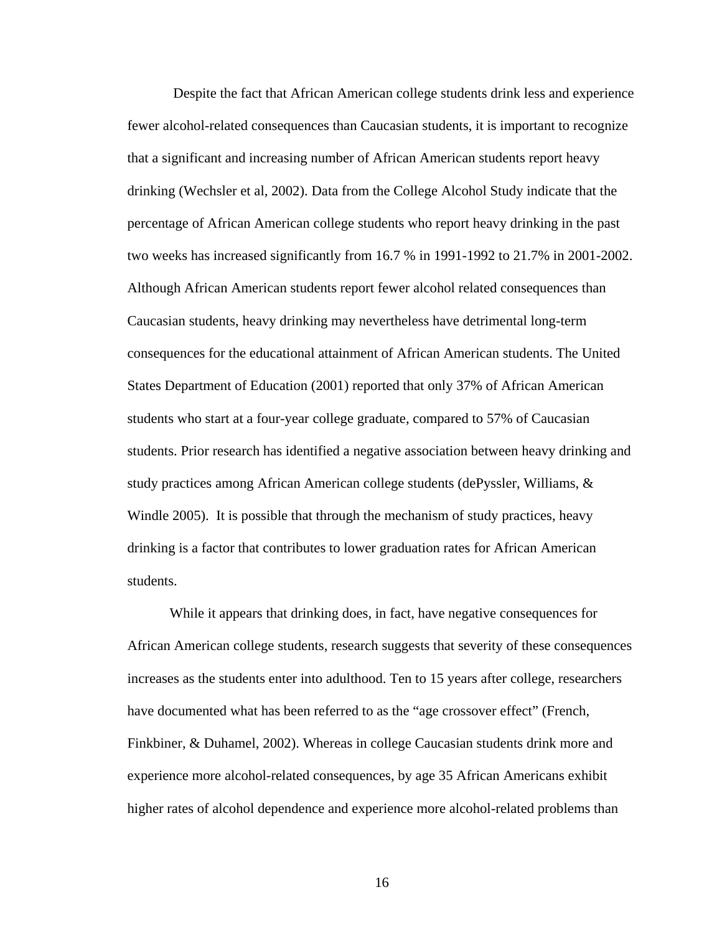Despite the fact that African American college students drink less and experience fewer alcohol-related consequences than Caucasian students, it is important to recognize that a significant and increasing number of African American students report heavy drinking (Wechsler et al, 2002). Data from the College Alcohol Study indicate that the percentage of African American college students who report heavy drinking in the past two weeks has increased significantly from 16.7 % in 1991-1992 to 21.7% in 2001-2002. Although African American students report fewer alcohol related consequences than Caucasian students, heavy drinking may nevertheless have detrimental long-term consequences for the educational attainment of African American students. The United States Department of Education (2001) reported that only 37% of African American students who start at a four-year college graduate, compared to 57% of Caucasian students. Prior research has identified a negative association between heavy drinking and study practices among African American college students (dePyssler, Williams, & Windle 2005). It is possible that through the mechanism of study practices, heavy drinking is a factor that contributes to lower graduation rates for African American students.

While it appears that drinking does, in fact, have negative consequences for African American college students, research suggests that severity of these consequences increases as the students enter into adulthood. Ten to 15 years after college, researchers have documented what has been referred to as the "age crossover effect" (French, Finkbiner, & Duhamel, 2002). Whereas in college Caucasian students drink more and experience more alcohol-related consequences, by age 35 African Americans exhibit higher rates of alcohol dependence and experience more alcohol-related problems than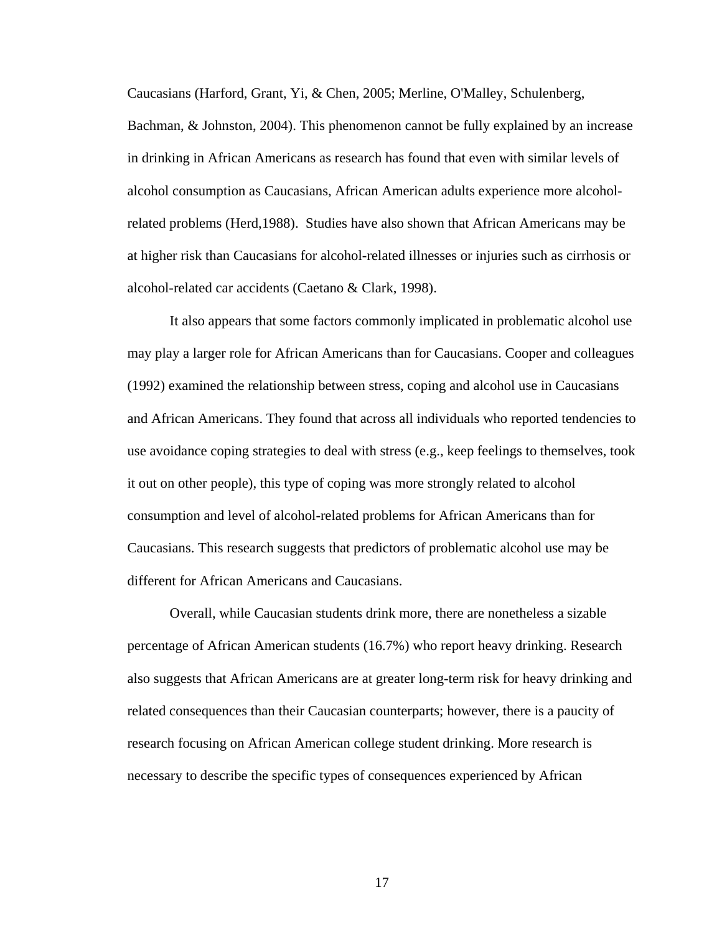Caucasians (Harford, Grant, Yi, & Chen, 2005; Merline, O'Malley, Schulenberg,

Bachman, & Johnston, 2004). This phenomenon cannot be fully explained by an increase in drinking in African Americans as research has found that even with similar levels of alcohol consumption as Caucasians, African American adults experience more alcoholrelated problems (Herd,1988). Studies have also shown that African Americans may be at higher risk than Caucasians for alcohol-related illnesses or injuries such as cirrhosis or alcohol-related car accidents (Caetano & Clark, 1998).

It also appears that some factors commonly implicated in problematic alcohol use may play a larger role for African Americans than for Caucasians. Cooper and colleagues (1992) examined the relationship between stress, coping and alcohol use in Caucasians and African Americans. They found that across all individuals who reported tendencies to use avoidance coping strategies to deal with stress (e.g., keep feelings to themselves, took it out on other people), this type of coping was more strongly related to alcohol consumption and level of alcohol-related problems for African Americans than for Caucasians. This research suggests that predictors of problematic alcohol use may be different for African Americans and Caucasians.

Overall, while Caucasian students drink more, there are nonetheless a sizable percentage of African American students (16.7%) who report heavy drinking. Research also suggests that African Americans are at greater long-term risk for heavy drinking and related consequences than their Caucasian counterparts; however, there is a paucity of research focusing on African American college student drinking. More research is necessary to describe the specific types of consequences experienced by African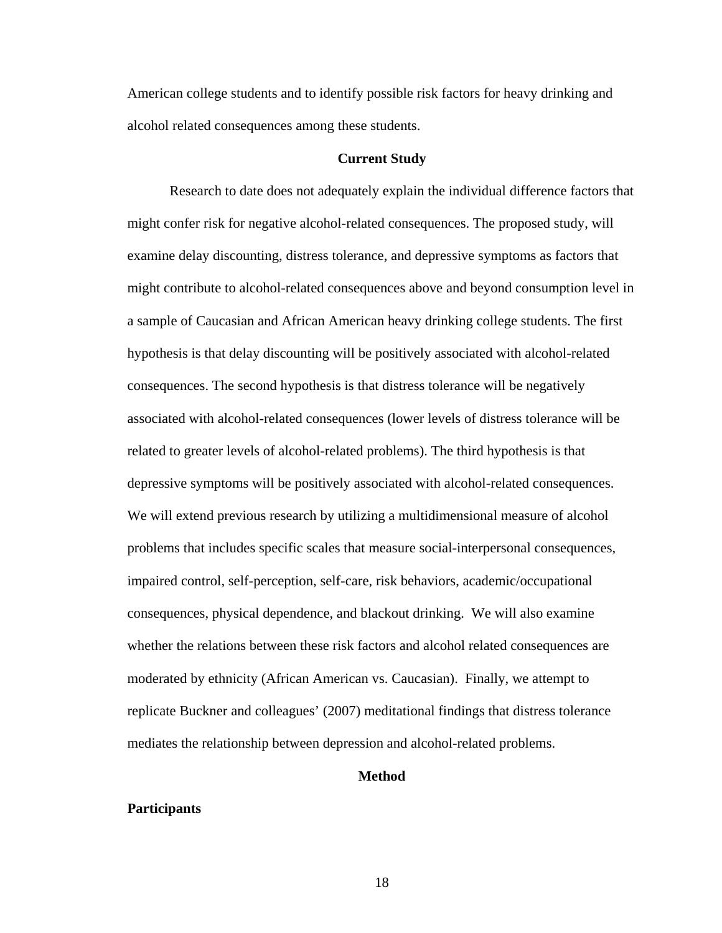American college students and to identify possible risk factors for heavy drinking and alcohol related consequences among these students.

#### **Current Study**

Research to date does not adequately explain the individual difference factors that might confer risk for negative alcohol-related consequences. The proposed study, will examine delay discounting, distress tolerance, and depressive symptoms as factors that might contribute to alcohol-related consequences above and beyond consumption level in a sample of Caucasian and African American heavy drinking college students. The first hypothesis is that delay discounting will be positively associated with alcohol-related consequences. The second hypothesis is that distress tolerance will be negatively associated with alcohol-related consequences (lower levels of distress tolerance will be related to greater levels of alcohol-related problems). The third hypothesis is that depressive symptoms will be positively associated with alcohol-related consequences. We will extend previous research by utilizing a multidimensional measure of alcohol problems that includes specific scales that measure social-interpersonal consequences, impaired control, self-perception, self-care, risk behaviors, academic/occupational consequences, physical dependence, and blackout drinking. We will also examine whether the relations between these risk factors and alcohol related consequences are moderated by ethnicity (African American vs. Caucasian). Finally, we attempt to replicate Buckner and colleagues' (2007) meditational findings that distress tolerance mediates the relationship between depression and alcohol-related problems.

#### **Method**

#### **Participants**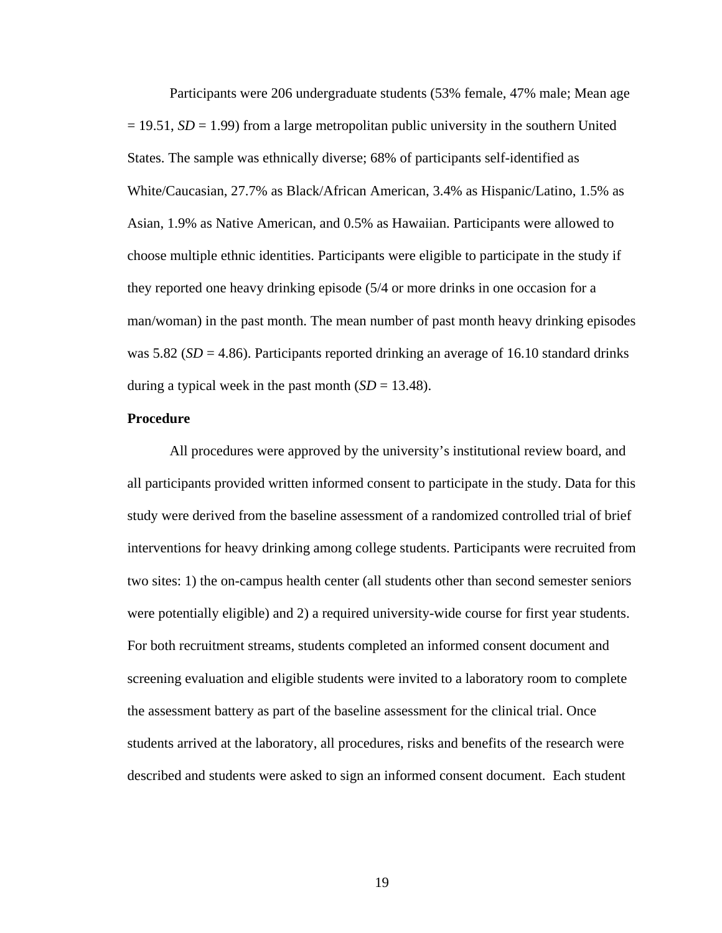Participants were 206 undergraduate students (53% female, 47% male; Mean age  $= 19.51$ ,  $SD = 1.99$ ) from a large metropolitan public university in the southern United States. The sample was ethnically diverse; 68% of participants self-identified as White/Caucasian, 27.7% as Black/African American, 3.4% as Hispanic/Latino, 1.5% as Asian, 1.9% as Native American, and 0.5% as Hawaiian. Participants were allowed to choose multiple ethnic identities. Participants were eligible to participate in the study if they reported one heavy drinking episode (5/4 or more drinks in one occasion for a man/woman) in the past month. The mean number of past month heavy drinking episodes was 5.82 ( $SD = 4.86$ ). Participants reported drinking an average of 16.10 standard drinks during a typical week in the past month  $(SD = 13.48)$ .

#### **Procedure**

All procedures were approved by the university's institutional review board, and all participants provided written informed consent to participate in the study. Data for this study were derived from the baseline assessment of a randomized controlled trial of brief interventions for heavy drinking among college students. Participants were recruited from two sites: 1) the on-campus health center (all students other than second semester seniors were potentially eligible) and 2) a required university-wide course for first year students. For both recruitment streams, students completed an informed consent document and screening evaluation and eligible students were invited to a laboratory room to complete the assessment battery as part of the baseline assessment for the clinical trial. Once students arrived at the laboratory, all procedures, risks and benefits of the research were described and students were asked to sign an informed consent document. Each student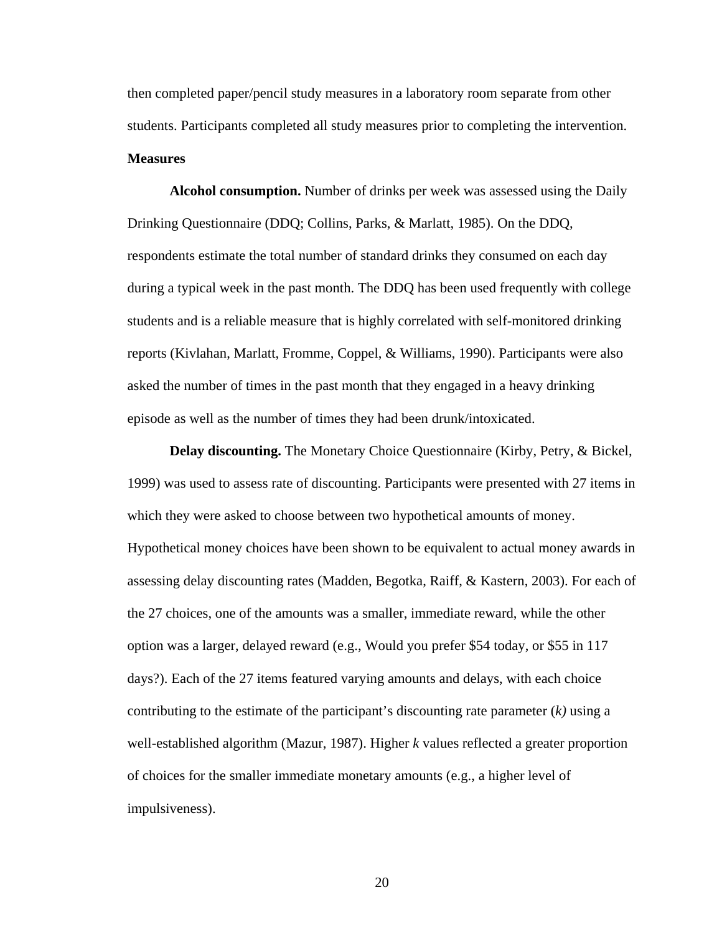then completed paper/pencil study measures in a laboratory room separate from other students. Participants completed all study measures prior to completing the intervention. **Measures**

**Alcohol consumption.** Number of drinks per week was assessed using the Daily Drinking Questionnaire (DDQ; Collins, Parks, & Marlatt, 1985). On the DDQ, respondents estimate the total number of standard drinks they consumed on each day during a typical week in the past month. The DDQ has been used frequently with college students and is a reliable measure that is highly correlated with self-monitored drinking reports (Kivlahan, Marlatt, Fromme, Coppel, & Williams, 1990). Participants were also asked the number of times in the past month that they engaged in a heavy drinking episode as well as the number of times they had been drunk/intoxicated.

**Delay discounting.** The Monetary Choice Questionnaire (Kirby, Petry, & Bickel, 1999) was used to assess rate of discounting. Participants were presented with 27 items in which they were asked to choose between two hypothetical amounts of money. Hypothetical money choices have been shown to be equivalent to actual money awards in assessing delay discounting rates (Madden, Begotka, Raiff, & Kastern, 2003). For each of the 27 choices, one of the amounts was a smaller, immediate reward, while the other option was a larger, delayed reward (e.g., Would you prefer \$54 today, or \$55 in 117 days?). Each of the 27 items featured varying amounts and delays, with each choice contributing to the estimate of the participant's discounting rate parameter (*k)* using a well-established algorithm (Mazur, 1987). Higher *k* values reflected a greater proportion of choices for the smaller immediate monetary amounts (e.g., a higher level of impulsiveness).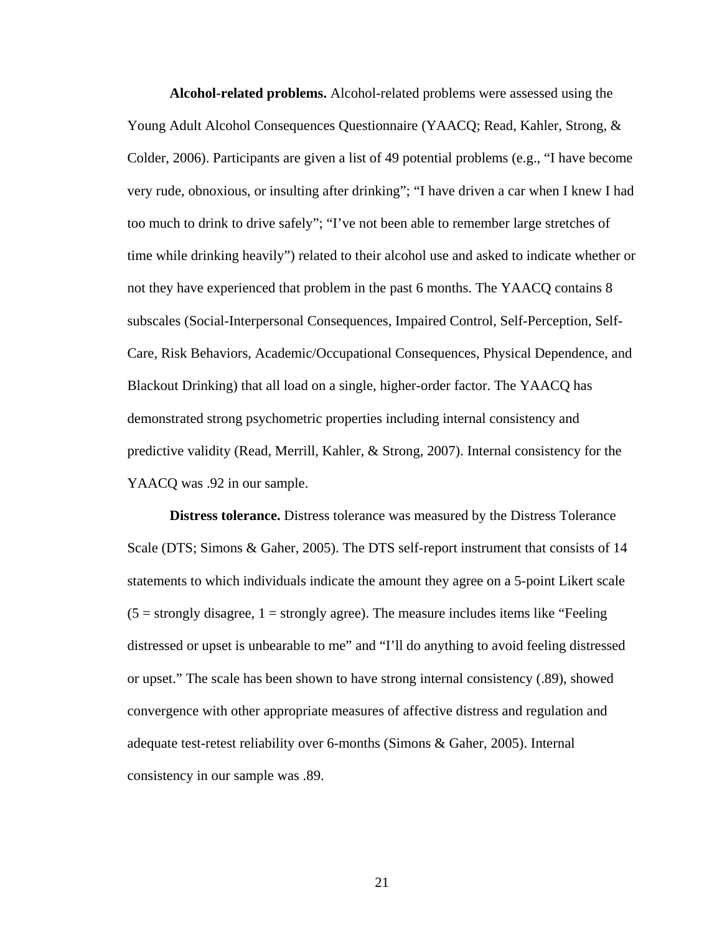**Alcohol-related problems.** Alcohol-related problems were assessed using the Young Adult Alcohol Consequences Questionnaire (YAACQ; Read, Kahler, Strong, & Colder, 2006). Participants are given a list of 49 potential problems (e.g., "I have become very rude, obnoxious, or insulting after drinking"; "I have driven a car when I knew I had too much to drink to drive safely"; "I've not been able to remember large stretches of time while drinking heavily") related to their alcohol use and asked to indicate whether or not they have experienced that problem in the past 6 months. The YAACQ contains 8 subscales (Social-Interpersonal Consequences, Impaired Control, Self-Perception, Self-Care, Risk Behaviors, Academic/Occupational Consequences, Physical Dependence, and Blackout Drinking) that all load on a single, higher-order factor. The YAACQ has demonstrated strong psychometric properties including internal consistency and predictive validity (Read, Merrill, Kahler, & Strong, 2007). Internal consistency for the YAACQ was .92 in our sample.

**Distress tolerance.** Distress tolerance was measured by the Distress Tolerance Scale (DTS; Simons & Gaher, 2005). The DTS self-report instrument that consists of 14 statements to which individuals indicate the amount they agree on a 5-point Likert scale  $(5 =$  strongly disagree,  $1 =$  strongly agree). The measure includes items like "Feeling" distressed or upset is unbearable to me" and "I'll do anything to avoid feeling distressed or upset." The scale has been shown to have strong internal consistency (.89), showed convergence with other appropriate measures of affective distress and regulation and adequate test-retest reliability over 6-months (Simons & Gaher, 2005). Internal consistency in our sample was .89.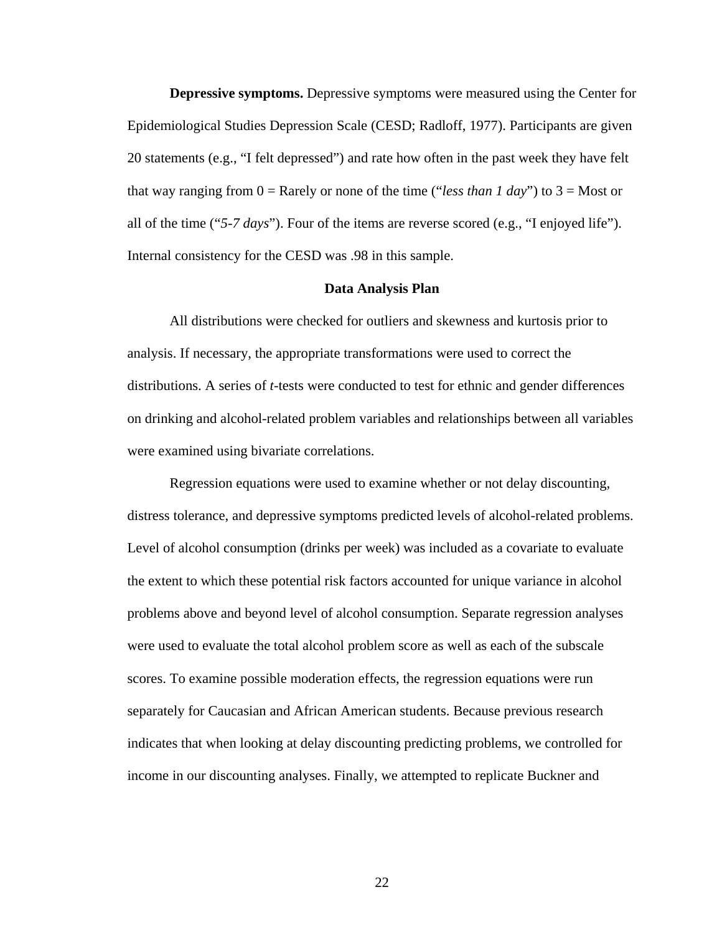**Depressive symptoms.** Depressive symptoms were measured using the Center for Epidemiological Studies Depression Scale (CESD; Radloff, 1977). Participants are given 20 statements (e.g., "I felt depressed") and rate how often in the past week they have felt that way ranging from  $0 =$  Rarely or none of the time ("*less than 1 day*") to  $3 =$  Most or all of the time ("*5-7 days*"). Four of the items are reverse scored (e.g., "I enjoyed life"). Internal consistency for the CESD was .98 in this sample.

#### **Data Analysis Plan**

All distributions were checked for outliers and skewness and kurtosis prior to analysis. If necessary, the appropriate transformations were used to correct the distributions. A series of *t*-tests were conducted to test for ethnic and gender differences on drinking and alcohol-related problem variables and relationships between all variables were examined using bivariate correlations.

Regression equations were used to examine whether or not delay discounting, distress tolerance, and depressive symptoms predicted levels of alcohol-related problems. Level of alcohol consumption (drinks per week) was included as a covariate to evaluate the extent to which these potential risk factors accounted for unique variance in alcohol problems above and beyond level of alcohol consumption. Separate regression analyses were used to evaluate the total alcohol problem score as well as each of the subscale scores. To examine possible moderation effects, the regression equations were run separately for Caucasian and African American students. Because previous research indicates that when looking at delay discounting predicting problems, we controlled for income in our discounting analyses. Finally, we attempted to replicate Buckner and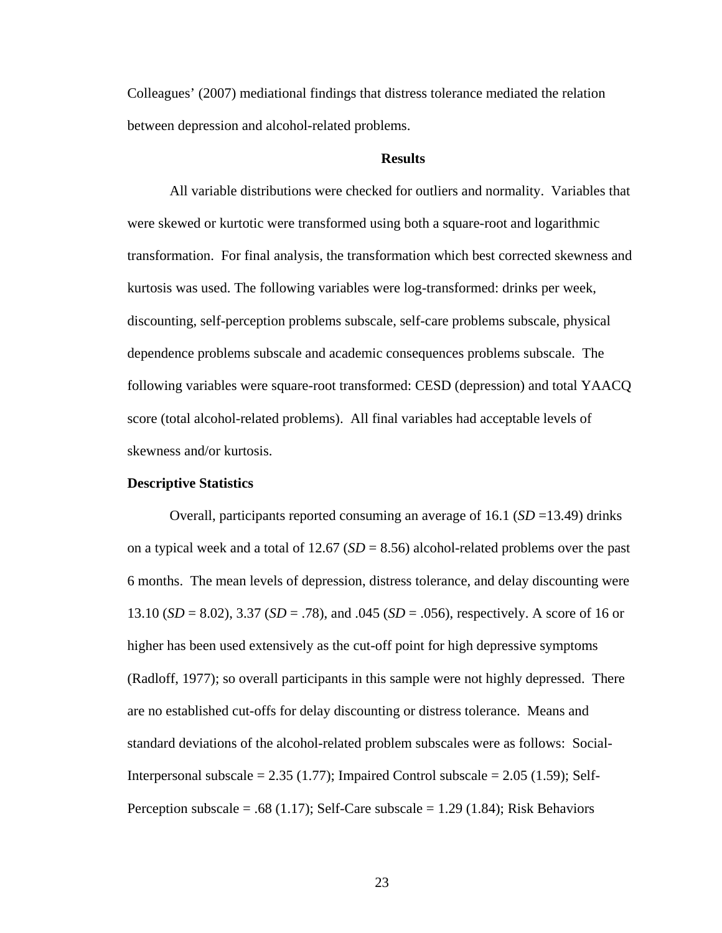Colleagues' (2007) mediational findings that distress tolerance mediated the relation between depression and alcohol-related problems.

#### **Results**

All variable distributions were checked for outliers and normality. Variables that were skewed or kurtotic were transformed using both a square-root and logarithmic transformation. For final analysis, the transformation which best corrected skewness and kurtosis was used. The following variables were log-transformed: drinks per week, discounting, self-perception problems subscale, self-care problems subscale, physical dependence problems subscale and academic consequences problems subscale. The following variables were square-root transformed: CESD (depression) and total YAACQ score (total alcohol-related problems). All final variables had acceptable levels of skewness and/or kurtosis.

#### **Descriptive Statistics**

Overall, participants reported consuming an average of 16.1 (*SD* =13.49) drinks on a typical week and a total of  $12.67$  ( $SD = 8.56$ ) alcohol-related problems over the past 6 months. The mean levels of depression, distress tolerance, and delay discounting were 13.10 (*SD* = 8.02), 3.37 (*SD* = .78), and .045 (*SD* = .056), respectively. A score of 16 or higher has been used extensively as the cut-off point for high depressive symptoms (Radloff, 1977); so overall participants in this sample were not highly depressed. There are no established cut-offs for delay discounting or distress tolerance. Means and standard deviations of the alcohol-related problem subscales were as follows: Social-Interpersonal subscale  $= 2.35$  (1.77); Impaired Control subscale  $= 2.05$  (1.59); Self-Perception subscale = .68 (1.17); Self-Care subscale = 1.29 (1.84); Risk Behaviors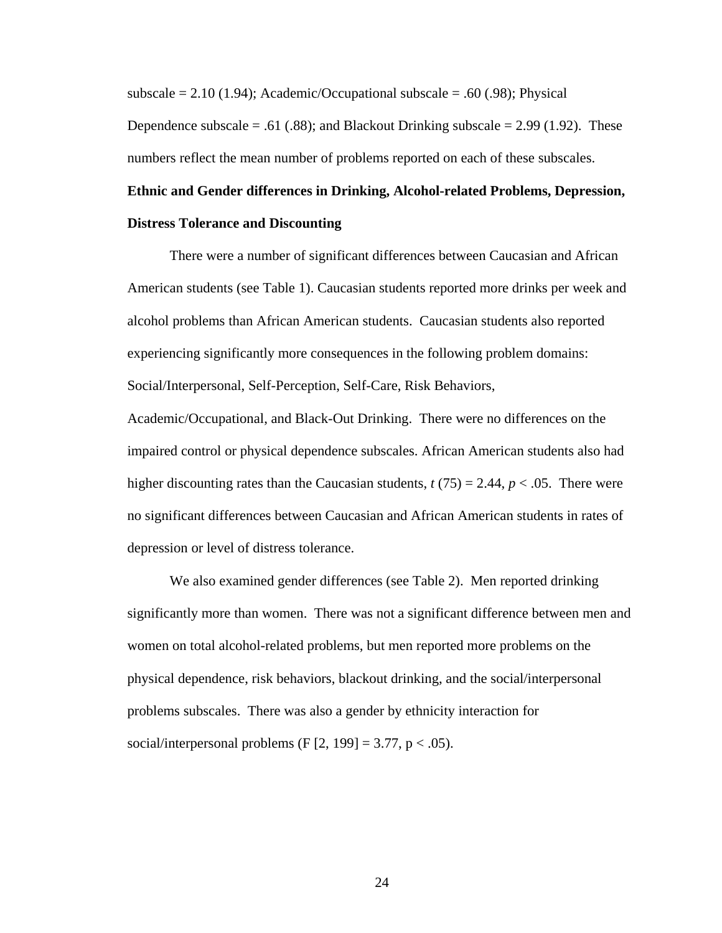subscale  $= 2.10$  (1.94); Academic/Occupational subscale  $= .60$  (.98); Physical Dependence subscale  $= .61$  (.88); and Blackout Drinking subscale  $= 2.99$  (1.92). These numbers reflect the mean number of problems reported on each of these subscales.

## **Ethnic and Gender differences in Drinking, Alcohol-related Problems, Depression, Distress Tolerance and Discounting**

There were a number of significant differences between Caucasian and African American students (see Table 1). Caucasian students reported more drinks per week and alcohol problems than African American students. Caucasian students also reported experiencing significantly more consequences in the following problem domains: Social/Interpersonal, Self-Perception, Self-Care, Risk Behaviors,

Academic/Occupational, and Black-Out Drinking. There were no differences on the impaired control or physical dependence subscales. African American students also had higher discounting rates than the Caucasian students,  $t(75) = 2.44$ ,  $p < .05$ . There were no significant differences between Caucasian and African American students in rates of depression or level of distress tolerance.

We also examined gender differences (see Table 2). Men reported drinking significantly more than women. There was not a significant difference between men and women on total alcohol-related problems, but men reported more problems on the physical dependence, risk behaviors, blackout drinking, and the social/interpersonal problems subscales. There was also a gender by ethnicity interaction for social/interpersonal problems (F  $[2, 199] = 3.77$ , p < .05).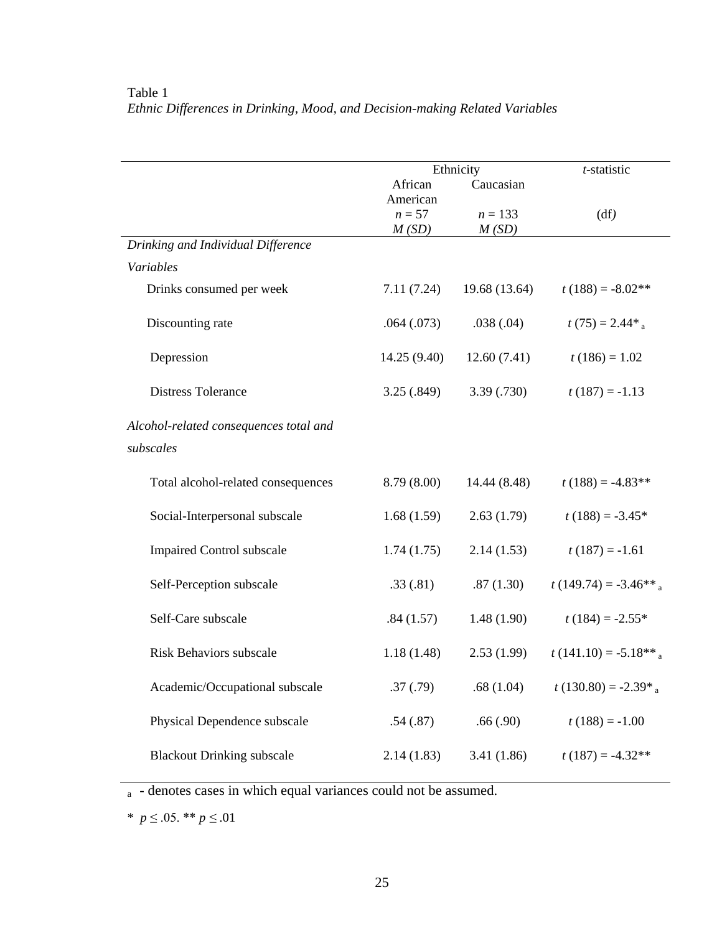|                                        |             | Ethnicity     | t-statistic               |  |  |
|----------------------------------------|-------------|---------------|---------------------------|--|--|
|                                        | African     | Caucasian     |                           |  |  |
|                                        | American    |               |                           |  |  |
|                                        | $n=57$      | $n = 133$     | (df)                      |  |  |
|                                        | M(SD)       | M(SD)         |                           |  |  |
| Drinking and Individual Difference     |             |               |                           |  |  |
| Variables                              |             |               |                           |  |  |
| Drinks consumed per week               | 7.11(7.24)  | 19.68 (13.64) | $t(188) = -8.02**$        |  |  |
| Discounting rate                       | .064(.073)  | .038(.04)     | $t(75) = 2.44*_{a}$       |  |  |
| Depression                             | 14.25(9.40) | 12.60(7.41)   | $t(186) = 1.02$           |  |  |
| <b>Distress Tolerance</b>              | 3.25(.849)  | 3.39(.730)    | $t(187) = -1.13$          |  |  |
| Alcohol-related consequences total and |             |               |                           |  |  |
| subscales                              |             |               |                           |  |  |
|                                        |             |               |                           |  |  |
| Total alcohol-related consequences     | 8.79(8.00)  | 14.44 (8.48)  | $t(188) = -4.83**$        |  |  |
| Social-Interpersonal subscale          | 1.68(1.59)  | 2.63(1.79)    | $t(188) = -3.45*$         |  |  |
| <b>Impaired Control subscale</b>       | 1.74(1.75)  | 2.14(1.53)    | $t(187) = -1.61$          |  |  |
| Self-Perception subscale               | .33(.81)    | .87(1.30)     | $t(149.74) = -3.46**_{a}$ |  |  |
| Self-Care subscale                     | .84(1.57)   | 1.48(1.90)    | $t(184) = -2.55*$         |  |  |
| <b>Risk Behaviors subscale</b>         | 1.18(1.48)  | 2.53(1.99)    | $t(141.10) = -5.18**$     |  |  |
| Academic/Occupational subscale         | .37(.79)    | .68(1.04)     | $t(130.80) = -2.39*_{a}$  |  |  |
| Physical Dependence subscale           | .54(.87)    | .66(.90)      | $t(188) = -1.00$          |  |  |
| <b>Blackout Drinking subscale</b>      | 2.14(1.83)  | 3.41(1.86)    | $t(187) = -4.32**$        |  |  |

### Table 1 *Ethnic Differences in Drinking, Mood, and Decision-making Related Variables*

a - denotes cases in which equal variances could not be assumed.

\*  $p \le 0.05$ . \*\*  $p \le 0.01$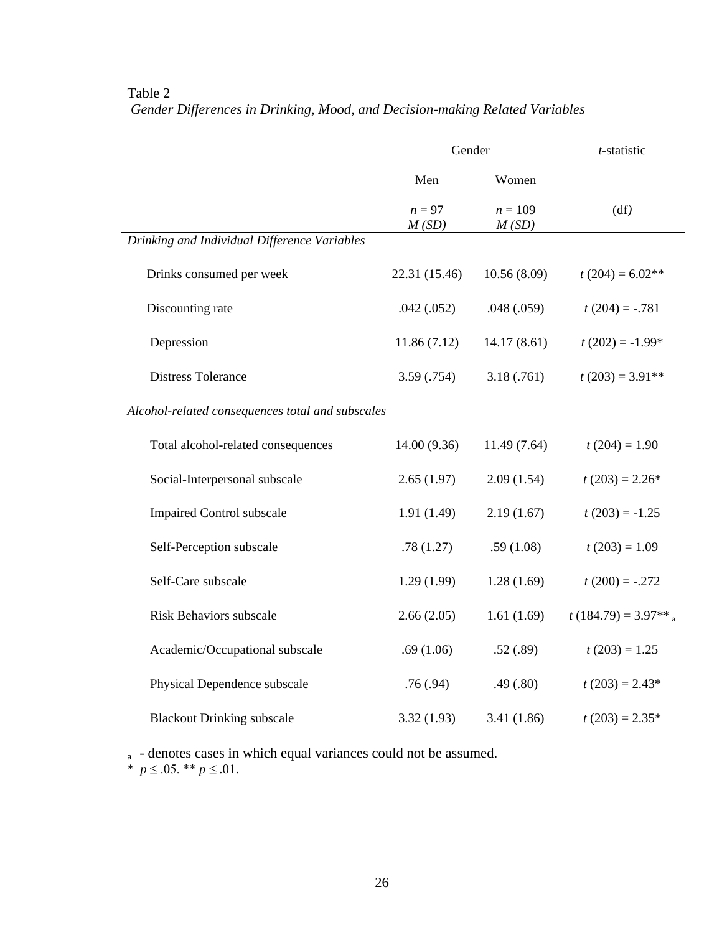|                                                  | Gender          | t-statistic        |                                   |  |
|--------------------------------------------------|-----------------|--------------------|-----------------------------------|--|
|                                                  | Men             | Women              |                                   |  |
|                                                  | $n=97$<br>M(SD) | $n = 109$<br>M(SD) | (df)                              |  |
| Drinking and Individual Difference Variables     |                 |                    |                                   |  |
| Drinks consumed per week                         | 22.31 (15.46)   | 10.56(8.09)        | $t(204) = 6.02**$                 |  |
| Discounting rate                                 | .042(.052)      | .048(.059)         | $t(204) = -.781$                  |  |
| Depression                                       | 11.86(7.12)     | 14.17(8.61)        | $t(202) = -1.99*$                 |  |
| <b>Distress Tolerance</b>                        | 3.59 (.754)     | 3.18(.761)         | $t(203) = 3.91**$                 |  |
| Alcohol-related consequences total and subscales |                 |                    |                                   |  |
| Total alcohol-related consequences               | 14.00 (9.36)    | 11.49 (7.64)       | $t(204) = 1.90$                   |  |
| Social-Interpersonal subscale                    | 2.65(1.97)      | 2.09(1.54)         | $t(203) = 2.26*$                  |  |
| <b>Impaired Control subscale</b>                 | 1.91(1.49)      | 2.19(1.67)         | $t(203) = -1.25$                  |  |
| Self-Perception subscale                         | .78(1.27)       | .59(1.08)          | $t(203) = 1.09$                   |  |
| Self-Care subscale                               | 1.29(1.99)      | 1.28(1.69)         | $t(200) = -.272$                  |  |
| <b>Risk Behaviors subscale</b>                   | 2.66(2.05)      | 1.61(1.69)         | $t(184.79) = 3.97**$ <sub>a</sub> |  |
| Academic/Occupational subscale                   | .69(1.06)       | .52(.89)           | $t(203) = 1.25$                   |  |
| Physical Dependence subscale                     | .76(.94)        | .49(.80)           | $t(203) = 2.43*$                  |  |
| <b>Blackout Drinking subscale</b>                | 3.32(1.93)      | 3.41(1.86)         | $t(203) = 2.35*$                  |  |

## Table 2 *Gender Differences in Drinking, Mood, and Decision-making Related Variables*

a - denotes cases in which equal variances could not be assumed.

\* *p* ≤ .05. \*\* *p ≤* .01.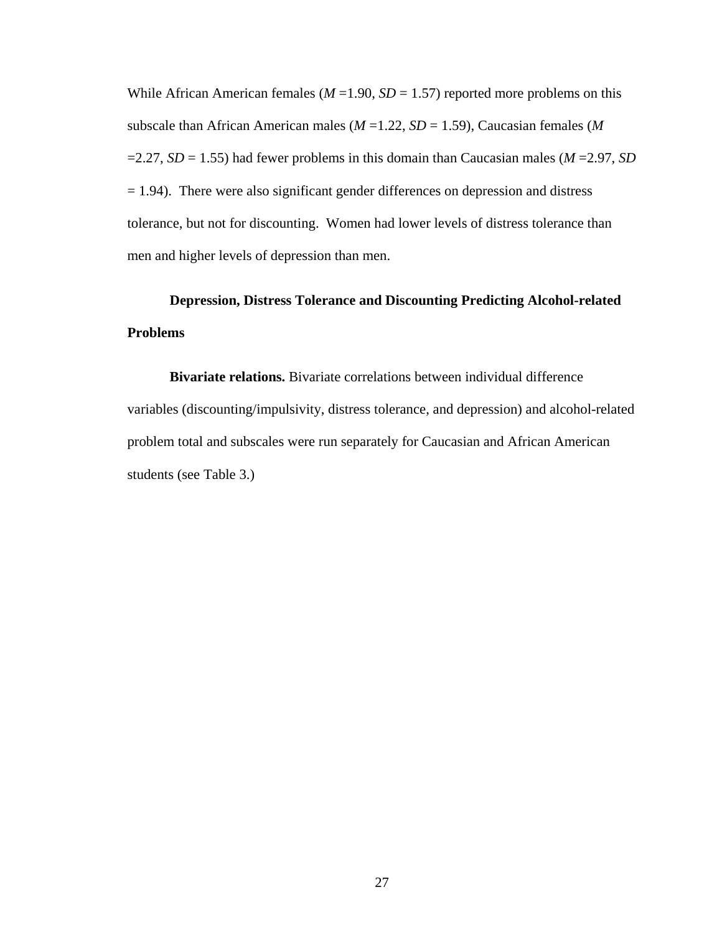While African American females ( $M = 1.90$ ,  $SD = 1.57$ ) reported more problems on this subscale than African American males (*M* =1.22, *SD* = 1.59), Caucasian females (*M*   $=2.27$ , *SD* = 1.55) had fewer problems in this domain than Caucasian males (*M* = 2.97, *SD*  $= 1.94$ ). There were also significant gender differences on depression and distress tolerance, but not for discounting. Women had lower levels of distress tolerance than men and higher levels of depression than men.

## **Depression, Distress Tolerance and Discounting Predicting Alcohol-related Problems**

**Bivariate relations.** Bivariate correlations between individual difference variables (discounting/impulsivity, distress tolerance, and depression) and alcohol-related problem total and subscales were run separately for Caucasian and African American students (see Table 3.)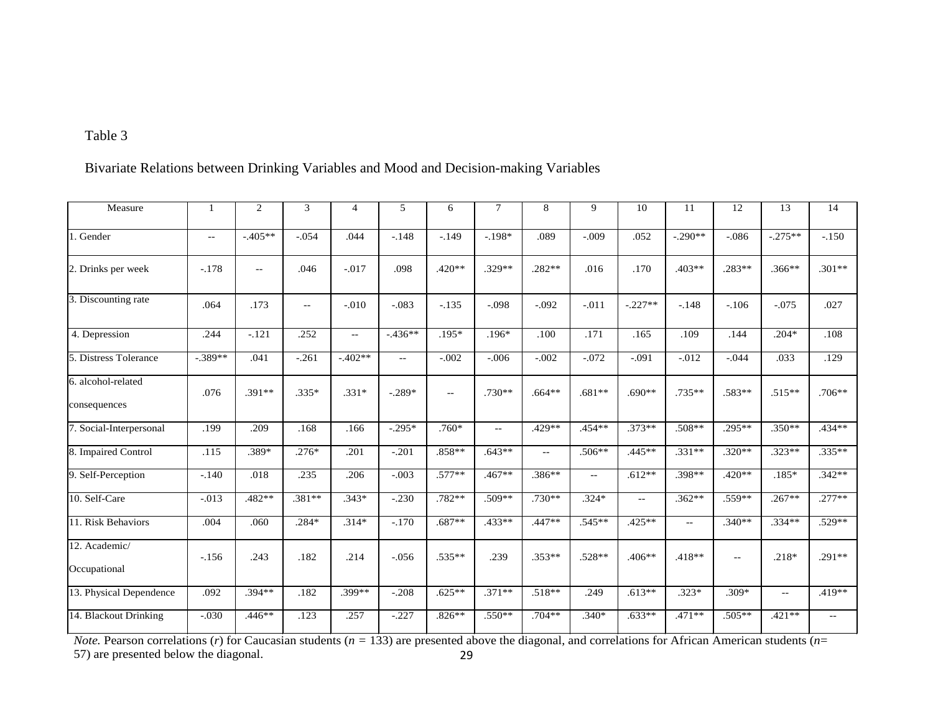## Table 3

Bivariate Relations between Drinking Variables and Mood and Decision-making Variables

| Measure                            | 1                                             | 2             | 3                                             | 4             | 5                        | 6                        | 7             | 8             | 9             | 10                       | 11        | 12       | 13        | 14       |
|------------------------------------|-----------------------------------------------|---------------|-----------------------------------------------|---------------|--------------------------|--------------------------|---------------|---------------|---------------|--------------------------|-----------|----------|-----------|----------|
| 1. Gender                          | $\mathord{\hspace{1pt}\text{--}\hspace{1pt}}$ | $-.405**$     | $-.054$                                       | .044          | $-.148$                  | $-.149$                  | $-.198*$      | .089          | $-.009$       | .052                     | $-.290**$ | $-.086$  | $-.275**$ | $-.150$  |
| 2. Drinks per week                 | $-.178$                                       | $\sim$ $\sim$ | .046                                          | $-.017$       | .098                     | .420**                   | .329**        | $.282**$      | .016          | .170                     | $.403**$  | .283**   | $.366**$  | $.301**$ |
| 3. Discounting rate                | .064                                          | .173          | $\mathord{\hspace{1pt}\text{--}\hspace{1pt}}$ | $-.010$       | $-.083$                  | $-.135$                  | $-.098$       | $-.092$       | $-.011$       | $-.227**$                | $-.148$   | $-.106$  | $-.075$   | .027     |
| 4. Depression                      | .244                                          | $-.121$       | .252                                          | $\sim$ $\sim$ | $-.436**$                | $.195*$                  | $.196*$       | .100          | .171          | .165                     | .109      | .144     | $.204*$   | .108     |
| 5. Distress Tolerance              | $-.389**$                                     | .041          | $-.261$                                       | $-.402**$     | $\overline{\phantom{a}}$ | $-.002$                  | $-.006$       | $-.002$       | $-.072$       | $-.091$                  | $-.012$   | $-.044$  | .033      | .129     |
| 6. alcohol-related<br>consequences | .076                                          | .391**        | $.335*$                                       | $.331*$       | $-.289*$                 | $\overline{\phantom{m}}$ | $.730**$      | $.664**$      | $.681**$      | $.690**$                 | $.735**$  | .583**   | $.515**$  | $.706**$ |
| 7. Social-Interpersonal            | .199                                          | .209          | .168                                          | .166          | $-0.295*$                | $.760*$                  | $\sim$ $\sim$ | $.429**$      | $.454**$      | $.373**$                 | .508**    | $.295**$ | $.350**$  | $.434**$ |
| 8. Impaired Control                | .115                                          | $.389*$       | $.276*$                                       | .201          | $-.201$                  | $.858**$                 | $.643**$      | $\sim$ $\sim$ | $.506**$      | .445**                   | $.331**$  | $.320**$ | $.323**$  | $.335**$ |
| 9. Self-Perception                 | $-.140$                                       | .018          | .235                                          | .206          | $-.003$                  | $.577**$                 | .467**        | .386**        | $\sim$ $\sim$ | $.612**$                 | .398**    | $.420**$ | $.185*$   | $.342**$ |
| 10. Self-Care                      | $-.013$                                       | .482**        | .381**                                        | $.343*$       | $-.230$                  | .782**                   | .509**        | $.730**$      | $.324*$       | $\overline{\phantom{a}}$ | $.362**$  | .559**   | $.267**$  | $.277**$ |
| 11. Risk Behaviors                 | .004                                          | .060          | $.284*$                                       | $.314*$       | $-.170$                  | $.687**$                 | $.433**$      | $.447**$      | $.545**$      | $.425**$                 | $- -$     | $.340**$ | $.334**$  | $.529**$ |
| 12. Academic/<br>Occupational      | $-156$                                        | .243          | .182                                          | .214          | $-.056$                  | .535**                   | .239          | $.353**$      | .528**        | $.406**$                 | $.418**$  | $- -$    | $.218*$   | .291**   |
| 13. Physical Dependence            | .092                                          | .394**        | .182                                          | $.399**$      | $-.208$                  | $.625**$                 | $.371**$      | $.518**$      | .249          | $.613**$                 | $.323*$   | $.309*$  | $-1$      | .419**   |
| 14. Blackout Drinking              | $-.030$                                       | $.446**$      | .123                                          | .257          | $-.227$                  | $.826**$                 | $.550**$      | $.704**$      | $.340*$       | $.633**$                 | $.471**$  | $.505**$ | $.421**$  | $- -$    |

29 *Note.* Pearson correlations (*r*) for Caucasian students ( $n = 133$ ) are presented above the diagonal, and correlations for African American students ( $n=$ 57) are presented below the diagonal.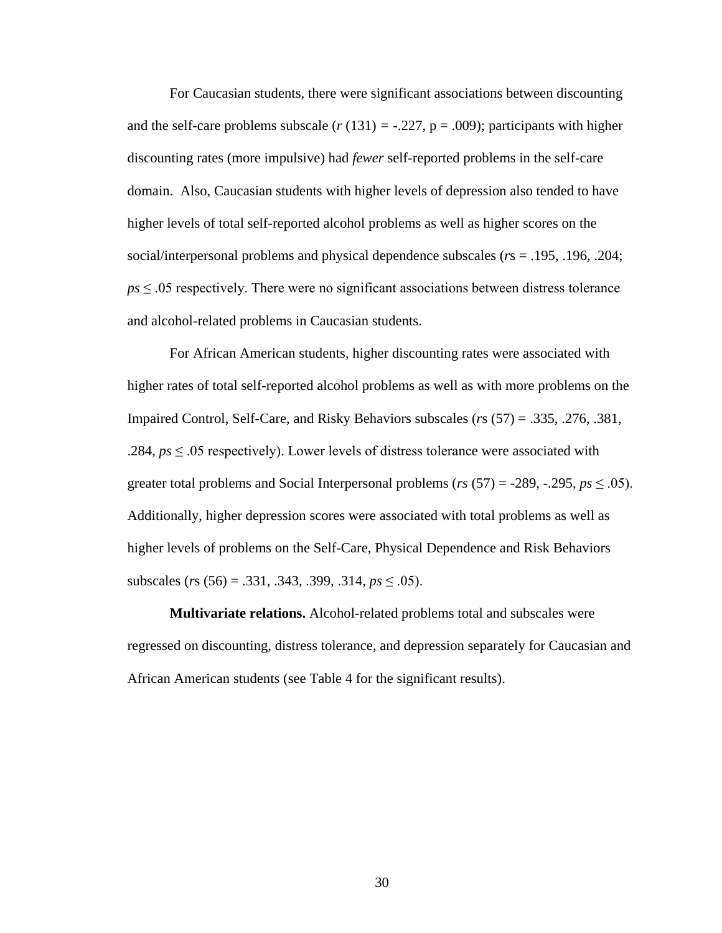For Caucasian students, there were significant associations between discounting and the self-care problems subscale  $(r(131) = -.227, p = .009)$ ; participants with higher discounting rates (more impulsive) had *fewer* self-reported problems in the self-care domain. Also, Caucasian students with higher levels of depression also tended to have higher levels of total self-reported alcohol problems as well as higher scores on the social/interpersonal problems and physical dependence subscales (*r*s = .195, .196, .204;  $ps \leq 0.05$  respectively. There were no significant associations between distress tolerance and alcohol-related problems in Caucasian students.

For African American students, higher discounting rates were associated with higher rates of total self-reported alcohol problems as well as with more problems on the Impaired Control, Self-Care, and Risky Behaviors subscales (*r*s (57) = .335, .276, .381, .284, *ps* ≤ .05 respectively). Lower levels of distress tolerance were associated with greater total problems and Social Interpersonal problems ( $rs$  (57) = -289, -.295,  $ps \leq .05$ ). Additionally, higher depression scores were associated with total problems as well as higher levels of problems on the Self-Care, Physical Dependence and Risk Behaviors subscales (*r*s (56) = .331, .343, .399, .314, *ps* ≤ .05).

**Multivariate relations.** Alcohol-related problems total and subscales were regressed on discounting, distress tolerance, and depression separately for Caucasian and African American students (see Table 4 for the significant results).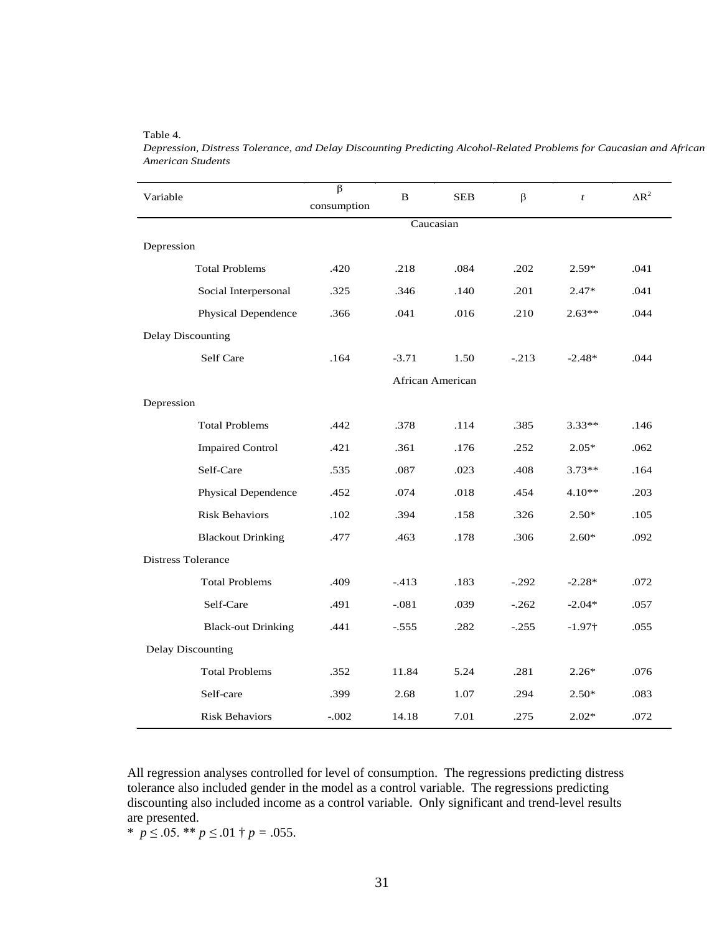| Variable                  | $\beta$<br>B<br>consumption |         | <b>SEB</b>       | $\beta$ | $\mathfrak{t}$ | $\Delta R^2$ |  |  |  |
|---------------------------|-----------------------------|---------|------------------|---------|----------------|--------------|--|--|--|
|                           | Caucasian                   |         |                  |         |                |              |  |  |  |
| Depression                |                             |         |                  |         |                |              |  |  |  |
| <b>Total Problems</b>     | .420                        | .218    | .084             | .202    | $2.59*$        | .041         |  |  |  |
| Social Interpersonal      | .325                        | .346    | .140             | .201    | $2.47*$        | .041         |  |  |  |
| Physical Dependence       | .366                        | .041    | .016             | .210    | $2.63**$       | .044         |  |  |  |
| <b>Delay Discounting</b>  |                             |         |                  |         |                |              |  |  |  |
| Self Care                 | .164                        | $-3.71$ | 1.50             | $-.213$ | $-2.48*$       | .044         |  |  |  |
|                           |                             |         | African American |         |                |              |  |  |  |
| Depression                |                             |         |                  |         |                |              |  |  |  |
| <b>Total Problems</b>     | .442                        | .378    | .114             | .385    | $3.33**$       | .146         |  |  |  |
| <b>Impaired Control</b>   | .421                        | .361    | .176             | .252    | $2.05*$        | .062         |  |  |  |
| Self-Care                 | .535                        | .087    | .023             | .408    | $3.73**$       | .164         |  |  |  |
| Physical Dependence       | .452                        | .074    | .018             | .454    | $4.10**$       | .203         |  |  |  |
| <b>Risk Behaviors</b>     | .102                        | .394    | .158             | .326    | $2.50*$        | .105         |  |  |  |
| <b>Blackout Drinking</b>  | .477                        | .463    | .178             | .306    | $2.60*$        | .092         |  |  |  |
| <b>Distress Tolerance</b> |                             |         |                  |         |                |              |  |  |  |
| <b>Total Problems</b>     | .409                        | $-413$  | .183             | $-.292$ | $-2.28*$       | .072         |  |  |  |
| Self-Care                 | .491                        | $-.081$ | .039             | $-.262$ | $-2.04*$       | .057         |  |  |  |
| <b>Black-out Drinking</b> | .441                        | $-.555$ | .282             | $-.255$ | $-1.97\dagger$ | .055         |  |  |  |
| <b>Delay Discounting</b>  |                             |         |                  |         |                |              |  |  |  |
| <b>Total Problems</b>     | .352                        | 11.84   | 5.24             | .281    | $2.26*$        | .076         |  |  |  |
| Self-care                 | .399                        | 2.68    | 1.07             | .294    | $2.50*$        | .083         |  |  |  |
| <b>Risk Behaviors</b>     | $-.002$                     | 14.18   | 7.01             | .275    | $2.02*$        | .072         |  |  |  |

*Depression, Distress Tolerance, and Delay Discounting Predicting Alcohol-Related Problems for Caucasian and African American Students*

All regression analyses controlled for level of consumption. The regressions predicting distress tolerance also included gender in the model as a control variable. The regressions predicting discounting also included income as a control variable. Only significant and trend-level results are presented.

\*  $p \le 0.05$ . \*\*  $p \le 0.01$  †  $p = 0.055$ .

Table 4.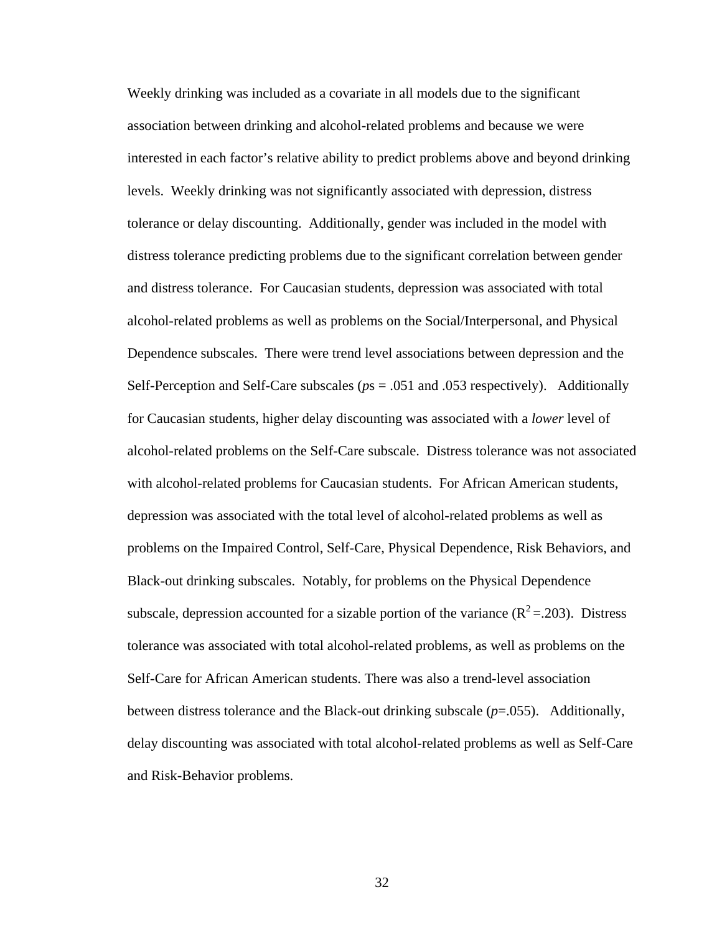Weekly drinking was included as a covariate in all models due to the significant association between drinking and alcohol-related problems and because we were interested in each factor's relative ability to predict problems above and beyond drinking levels. Weekly drinking was not significantly associated with depression, distress tolerance or delay discounting. Additionally, gender was included in the model with distress tolerance predicting problems due to the significant correlation between gender and distress tolerance. For Caucasian students, depression was associated with total alcohol-related problems as well as problems on the Social/Interpersonal, and Physical Dependence subscales. There were trend level associations between depression and the Self-Perception and Self-Care subscales (*p*s = .051 and .053 respectively). Additionally for Caucasian students, higher delay discounting was associated with a *lower* level of alcohol-related problems on the Self-Care subscale. Distress tolerance was not associated with alcohol-related problems for Caucasian students. For African American students, depression was associated with the total level of alcohol-related problems as well as problems on the Impaired Control, Self-Care, Physical Dependence, Risk Behaviors, and Black-out drinking subscales. Notably, for problems on the Physical Dependence subscale, depression accounted for a sizable portion of the variance  $(R^2 = 203)$ . Distress tolerance was associated with total alcohol-related problems, as well as problems on the Self-Care for African American students. There was also a trend-level association between distress tolerance and the Black-out drinking subscale (*p*=.055). Additionally, delay discounting was associated with total alcohol-related problems as well as Self-Care and Risk-Behavior problems.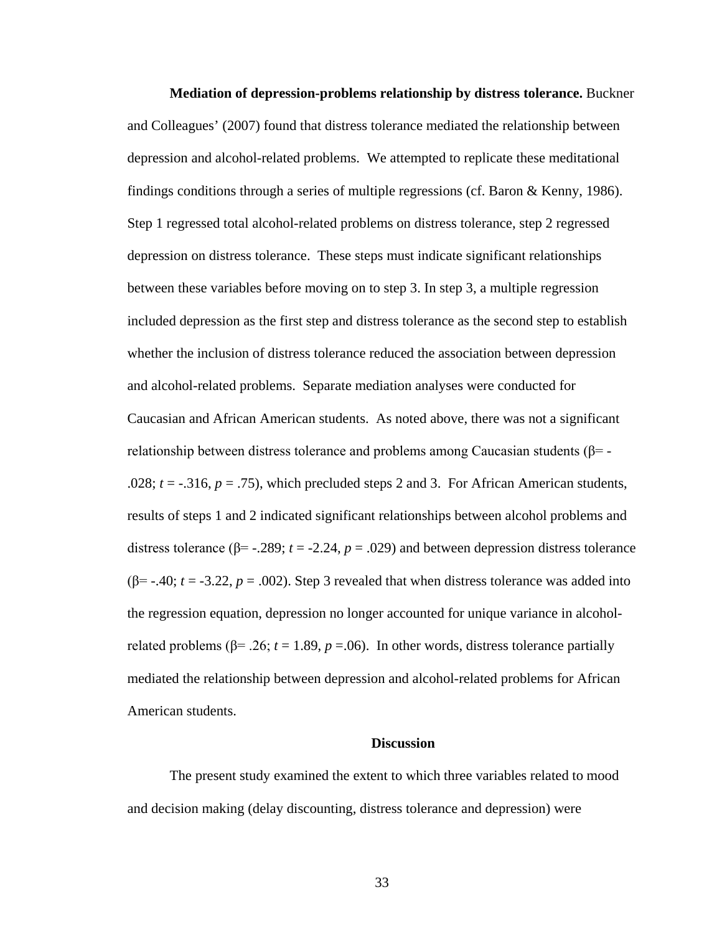**Mediation of depression-problems relationship by distress tolerance.** Buckner and Colleagues' (2007) found that distress tolerance mediated the relationship between depression and alcohol-related problems. We attempted to replicate these meditational findings conditions through a series of multiple regressions (cf. Baron & Kenny, 1986). Step 1 regressed total alcohol-related problems on distress tolerance, step 2 regressed depression on distress tolerance. These steps must indicate significant relationships between these variables before moving on to step 3. In step 3, a multiple regression included depression as the first step and distress tolerance as the second step to establish whether the inclusion of distress tolerance reduced the association between depression and alcohol-related problems. Separate mediation analyses were conducted for Caucasian and African American students. As noted above, there was not a significant relationship between distress tolerance and problems among Caucasian students ( $\beta$ = -.028;  $t = -0.316$ ,  $p = 0.75$ ), which precluded steps 2 and 3. For African American students, results of steps 1 and 2 indicated significant relationships between alcohol problems and distress tolerance ( $β = -0.289$ ; *t* = -0.24, *p* = .029) and between depression distress tolerance ( $\beta$ = -.40; *t* = -3.22, *p* = .002). Step 3 revealed that when distress tolerance was added into the regression equation, depression no longer accounted for unique variance in alcoholrelated problems ( $β = .26$ ;  $t = 1.89$ ,  $p = .06$ ). In other words, distress tolerance partially mediated the relationship between depression and alcohol-related problems for African American students.

#### **Discussion**

The present study examined the extent to which three variables related to mood and decision making (delay discounting, distress tolerance and depression) were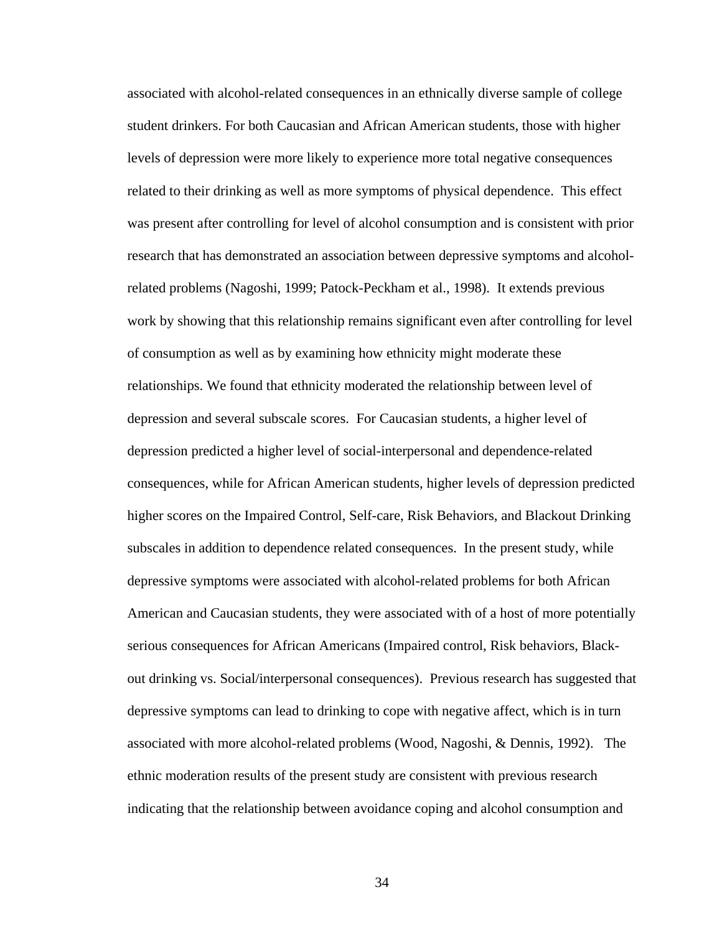associated with alcohol-related consequences in an ethnically diverse sample of college student drinkers. For both Caucasian and African American students, those with higher levels of depression were more likely to experience more total negative consequences related to their drinking as well as more symptoms of physical dependence. This effect was present after controlling for level of alcohol consumption and is consistent with prior research that has demonstrated an association between depressive symptoms and alcoholrelated problems (Nagoshi, 1999; Patock-Peckham et al., 1998). It extends previous work by showing that this relationship remains significant even after controlling for level of consumption as well as by examining how ethnicity might moderate these relationships. We found that ethnicity moderated the relationship between level of depression and several subscale scores. For Caucasian students, a higher level of depression predicted a higher level of social-interpersonal and dependence-related consequences, while for African American students, higher levels of depression predicted higher scores on the Impaired Control, Self-care, Risk Behaviors, and Blackout Drinking subscales in addition to dependence related consequences. In the present study, while depressive symptoms were associated with alcohol-related problems for both African American and Caucasian students, they were associated with of a host of more potentially serious consequences for African Americans (Impaired control, Risk behaviors, Blackout drinking vs. Social/interpersonal consequences). Previous research has suggested that depressive symptoms can lead to drinking to cope with negative affect, which is in turn associated with more alcohol-related problems (Wood, Nagoshi, & Dennis, 1992). The ethnic moderation results of the present study are consistent with previous research indicating that the relationship between avoidance coping and alcohol consumption and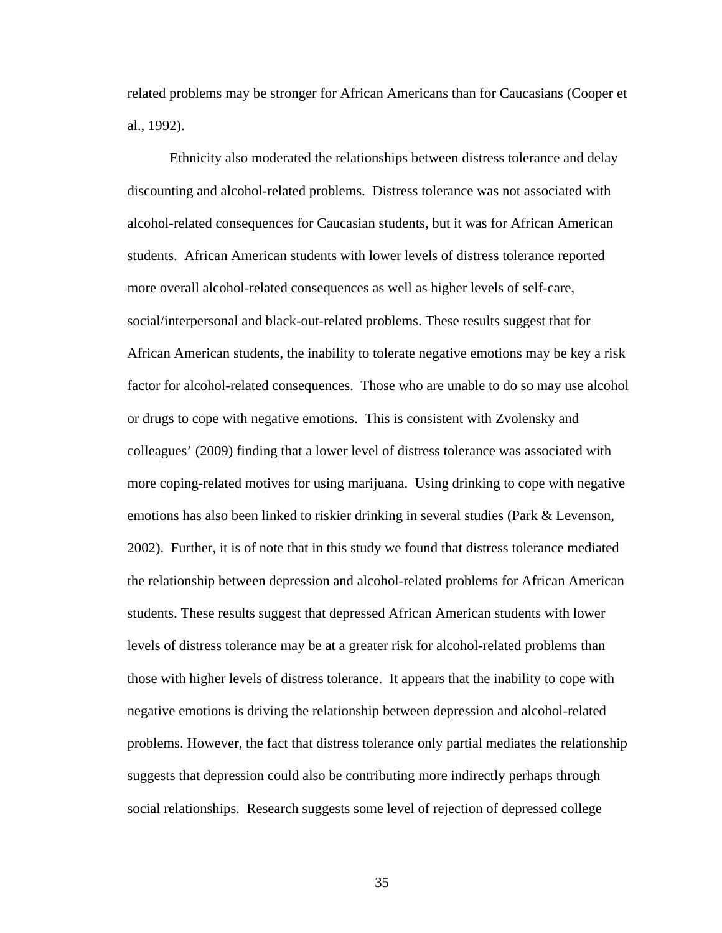related problems may be stronger for African Americans than for Caucasians (Cooper et al., 1992).

Ethnicity also moderated the relationships between distress tolerance and delay discounting and alcohol-related problems. Distress tolerance was not associated with alcohol-related consequences for Caucasian students, but it was for African American students. African American students with lower levels of distress tolerance reported more overall alcohol-related consequences as well as higher levels of self-care, social/interpersonal and black-out-related problems. These results suggest that for African American students, the inability to tolerate negative emotions may be key a risk factor for alcohol-related consequences. Those who are unable to do so may use alcohol or drugs to cope with negative emotions. This is consistent with Zvolensky and colleagues' (2009) finding that a lower level of distress tolerance was associated with more coping-related motives for using marijuana. Using drinking to cope with negative emotions has also been linked to riskier drinking in several studies (Park & Levenson, 2002). Further, it is of note that in this study we found that distress tolerance mediated the relationship between depression and alcohol-related problems for African American students. These results suggest that depressed African American students with lower levels of distress tolerance may be at a greater risk for alcohol-related problems than those with higher levels of distress tolerance. It appears that the inability to cope with negative emotions is driving the relationship between depression and alcohol-related problems. However, the fact that distress tolerance only partial mediates the relationship suggests that depression could also be contributing more indirectly perhaps through social relationships. Research suggests some level of rejection of depressed college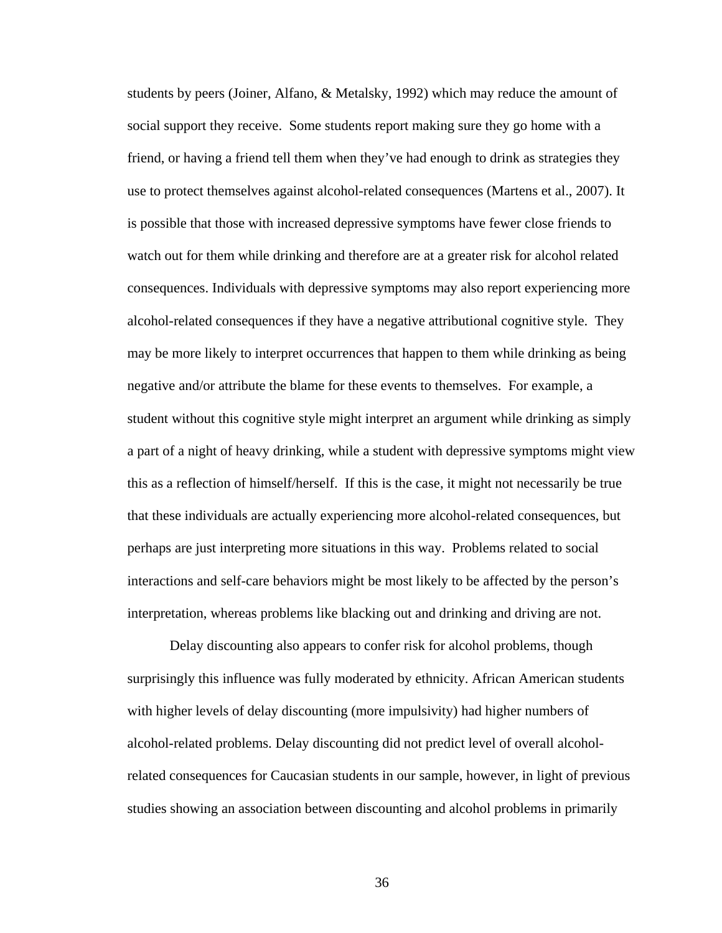students by peers (Joiner, Alfano, & Metalsky, 1992) which may reduce the amount of social support they receive. Some students report making sure they go home with a friend, or having a friend tell them when they've had enough to drink as strategies they use to protect themselves against alcohol-related consequences (Martens et al., 2007). It is possible that those with increased depressive symptoms have fewer close friends to watch out for them while drinking and therefore are at a greater risk for alcohol related consequences. Individuals with depressive symptoms may also report experiencing more alcohol-related consequences if they have a negative attributional cognitive style. They may be more likely to interpret occurrences that happen to them while drinking as being negative and/or attribute the blame for these events to themselves. For example, a student without this cognitive style might interpret an argument while drinking as simply a part of a night of heavy drinking, while a student with depressive symptoms might view this as a reflection of himself/herself. If this is the case, it might not necessarily be true that these individuals are actually experiencing more alcohol-related consequences, but perhaps are just interpreting more situations in this way. Problems related to social interactions and self-care behaviors might be most likely to be affected by the person's interpretation, whereas problems like blacking out and drinking and driving are not.

Delay discounting also appears to confer risk for alcohol problems, though surprisingly this influence was fully moderated by ethnicity. African American students with higher levels of delay discounting (more impulsivity) had higher numbers of alcohol-related problems. Delay discounting did not predict level of overall alcoholrelated consequences for Caucasian students in our sample, however, in light of previous studies showing an association between discounting and alcohol problems in primarily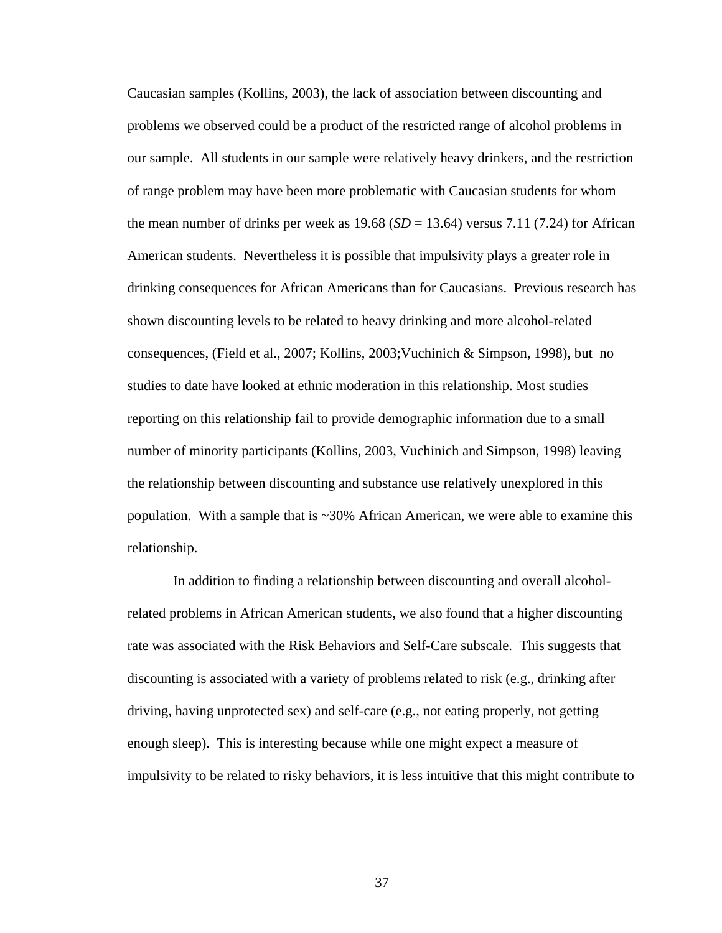Caucasian samples (Kollins, 2003), the lack of association between discounting and problems we observed could be a product of the restricted range of alcohol problems in our sample. All students in our sample were relatively heavy drinkers, and the restriction of range problem may have been more problematic with Caucasian students for whom the mean number of drinks per week as  $19.68$  ( $SD = 13.64$ ) versus 7.11 (7.24) for African American students. Nevertheless it is possible that impulsivity plays a greater role in drinking consequences for African Americans than for Caucasians. Previous research has shown discounting levels to be related to heavy drinking and more alcohol-related consequences, (Field et al., 2007; Kollins, 2003;Vuchinich & Simpson, 1998), but no studies to date have looked at ethnic moderation in this relationship. Most studies reporting on this relationship fail to provide demographic information due to a small number of minority participants (Kollins, 2003, Vuchinich and Simpson, 1998) leaving the relationship between discounting and substance use relatively unexplored in this population. With a sample that is  $\sim 30\%$  African American, we were able to examine this relationship.

In addition to finding a relationship between discounting and overall alcoholrelated problems in African American students, we also found that a higher discounting rate was associated with the Risk Behaviors and Self-Care subscale. This suggests that discounting is associated with a variety of problems related to risk (e.g., drinking after driving, having unprotected sex) and self-care (e.g., not eating properly, not getting enough sleep). This is interesting because while one might expect a measure of impulsivity to be related to risky behaviors, it is less intuitive that this might contribute to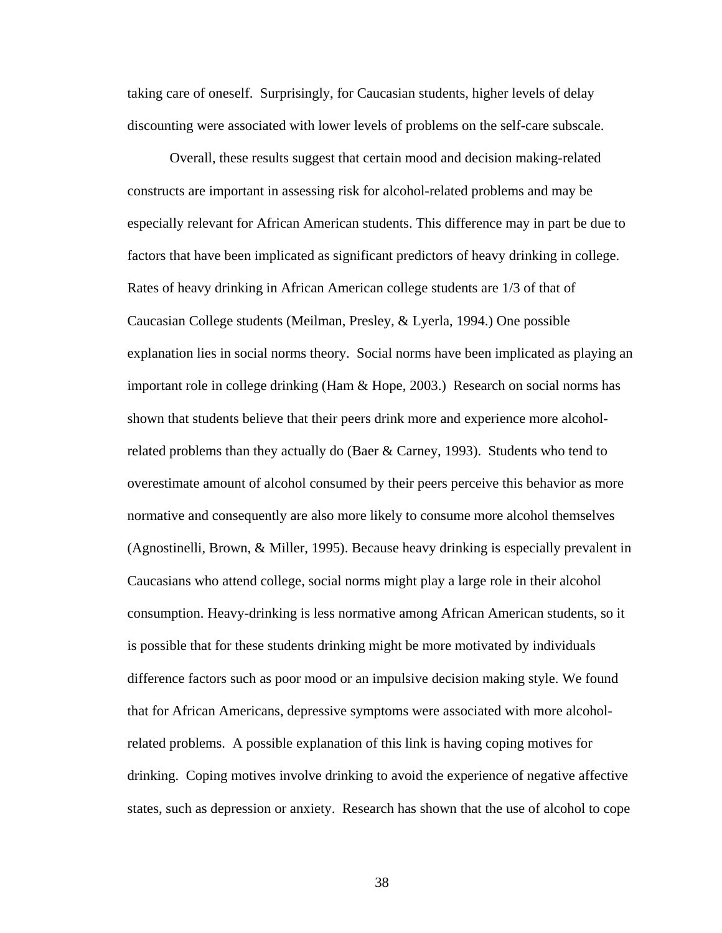taking care of oneself. Surprisingly, for Caucasian students, higher levels of delay discounting were associated with lower levels of problems on the self-care subscale.

Overall, these results suggest that certain mood and decision making-related constructs are important in assessing risk for alcohol-related problems and may be especially relevant for African American students. This difference may in part be due to factors that have been implicated as significant predictors of heavy drinking in college. Rates of heavy drinking in African American college students are 1/3 of that of Caucasian College students (Meilman, Presley, & Lyerla, 1994.) One possible explanation lies in social norms theory. Social norms have been implicated as playing an important role in college drinking (Ham & Hope, 2003.) Research on social norms has shown that students believe that their peers drink more and experience more alcoholrelated problems than they actually do (Baer & Carney, 1993). Students who tend to overestimate amount of alcohol consumed by their peers perceive this behavior as more normative and consequently are also more likely to consume more alcohol themselves (Agnostinelli, Brown, & Miller, 1995). Because heavy drinking is especially prevalent in Caucasians who attend college, social norms might play a large role in their alcohol consumption. Heavy-drinking is less normative among African American students, so it is possible that for these students drinking might be more motivated by individuals difference factors such as poor mood or an impulsive decision making style. We found that for African Americans, depressive symptoms were associated with more alcoholrelated problems. A possible explanation of this link is having coping motives for drinking. Coping motives involve drinking to avoid the experience of negative affective states, such as depression or anxiety. Research has shown that the use of alcohol to cope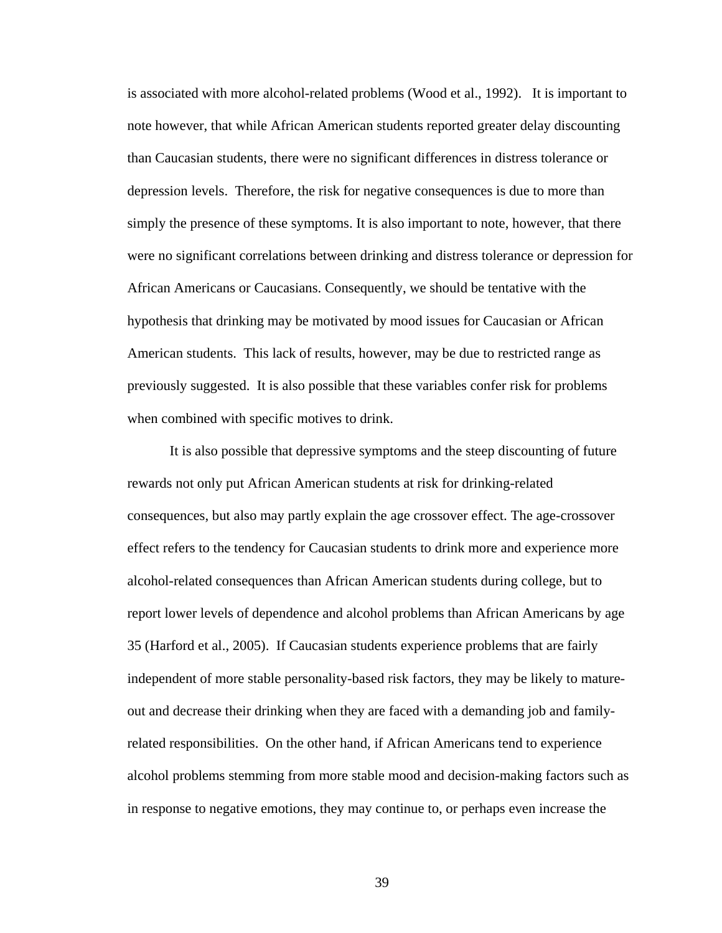is associated with more alcohol-related problems (Wood et al., 1992). It is important to note however, that while African American students reported greater delay discounting than Caucasian students, there were no significant differences in distress tolerance or depression levels. Therefore, the risk for negative consequences is due to more than simply the presence of these symptoms. It is also important to note, however, that there were no significant correlations between drinking and distress tolerance or depression for African Americans or Caucasians. Consequently, we should be tentative with the hypothesis that drinking may be motivated by mood issues for Caucasian or African American students. This lack of results, however, may be due to restricted range as previously suggested. It is also possible that these variables confer risk for problems when combined with specific motives to drink.

It is also possible that depressive symptoms and the steep discounting of future rewards not only put African American students at risk for drinking-related consequences, but also may partly explain the age crossover effect. The age-crossover effect refers to the tendency for Caucasian students to drink more and experience more alcohol-related consequences than African American students during college, but to report lower levels of dependence and alcohol problems than African Americans by age 35 (Harford et al., 2005). If Caucasian students experience problems that are fairly independent of more stable personality-based risk factors, they may be likely to matureout and decrease their drinking when they are faced with a demanding job and familyrelated responsibilities. On the other hand, if African Americans tend to experience alcohol problems stemming from more stable mood and decision-making factors such as in response to negative emotions, they may continue to, or perhaps even increase the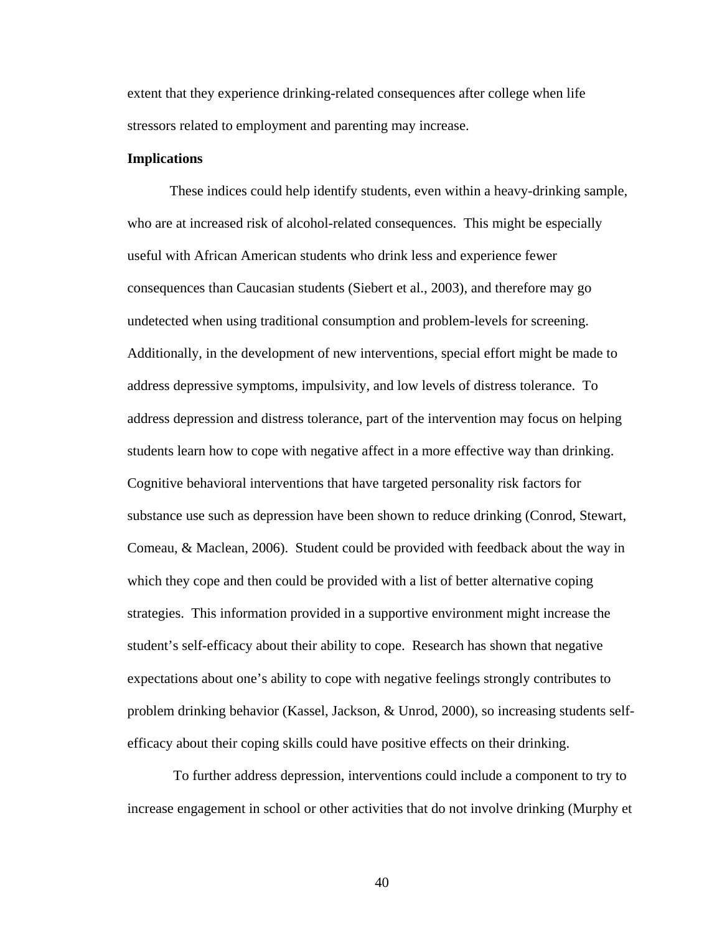extent that they experience drinking-related consequences after college when life stressors related to employment and parenting may increase.

#### **Implications**

These indices could help identify students, even within a heavy-drinking sample, who are at increased risk of alcohol-related consequences. This might be especially useful with African American students who drink less and experience fewer consequences than Caucasian students (Siebert et al., 2003), and therefore may go undetected when using traditional consumption and problem-levels for screening. Additionally, in the development of new interventions, special effort might be made to address depressive symptoms, impulsivity, and low levels of distress tolerance. To address depression and distress tolerance, part of the intervention may focus on helping students learn how to cope with negative affect in a more effective way than drinking. Cognitive behavioral interventions that have targeted personality risk factors for substance use such as depression have been shown to reduce drinking (Conrod, Stewart, Comeau, & Maclean, 2006). Student could be provided with feedback about the way in which they cope and then could be provided with a list of better alternative coping strategies. This information provided in a supportive environment might increase the student's self-efficacy about their ability to cope. Research has shown that negative expectations about one's ability to cope with negative feelings strongly contributes to problem drinking behavior (Kassel, Jackson, & Unrod, 2000), so increasing students selfefficacy about their coping skills could have positive effects on their drinking.

To further address depression, interventions could include a component to try to increase engagement in school or other activities that do not involve drinking (Murphy et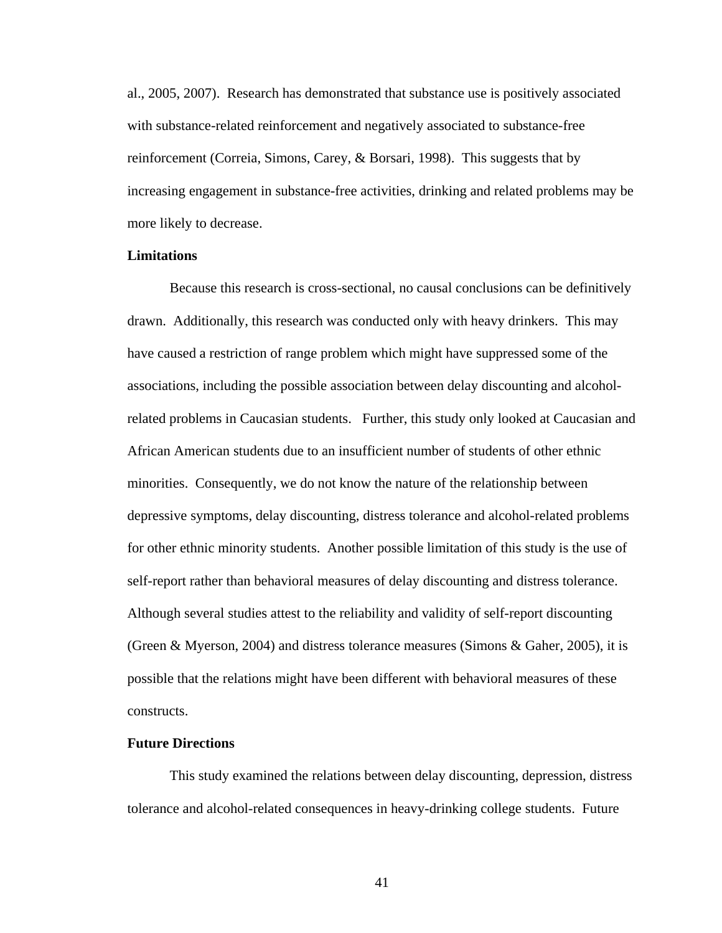al., 2005, 2007). Research has demonstrated that substance use is positively associated with substance-related reinforcement and negatively associated to substance-free reinforcement (Correia, Simons, Carey, & Borsari, 1998). This suggests that by increasing engagement in substance-free activities, drinking and related problems may be more likely to decrease.

#### **Limitations**

Because this research is cross-sectional, no causal conclusions can be definitively drawn. Additionally, this research was conducted only with heavy drinkers. This may have caused a restriction of range problem which might have suppressed some of the associations, including the possible association between delay discounting and alcoholrelated problems in Caucasian students. Further, this study only looked at Caucasian and African American students due to an insufficient number of students of other ethnic minorities. Consequently, we do not know the nature of the relationship between depressive symptoms, delay discounting, distress tolerance and alcohol-related problems for other ethnic minority students. Another possible limitation of this study is the use of self-report rather than behavioral measures of delay discounting and distress tolerance. Although several studies attest to the reliability and validity of self-report discounting (Green & Myerson, 2004) and distress tolerance measures (Simons & Gaher, 2005), it is possible that the relations might have been different with behavioral measures of these constructs.

#### **Future Directions**

This study examined the relations between delay discounting, depression, distress tolerance and alcohol-related consequences in heavy-drinking college students. Future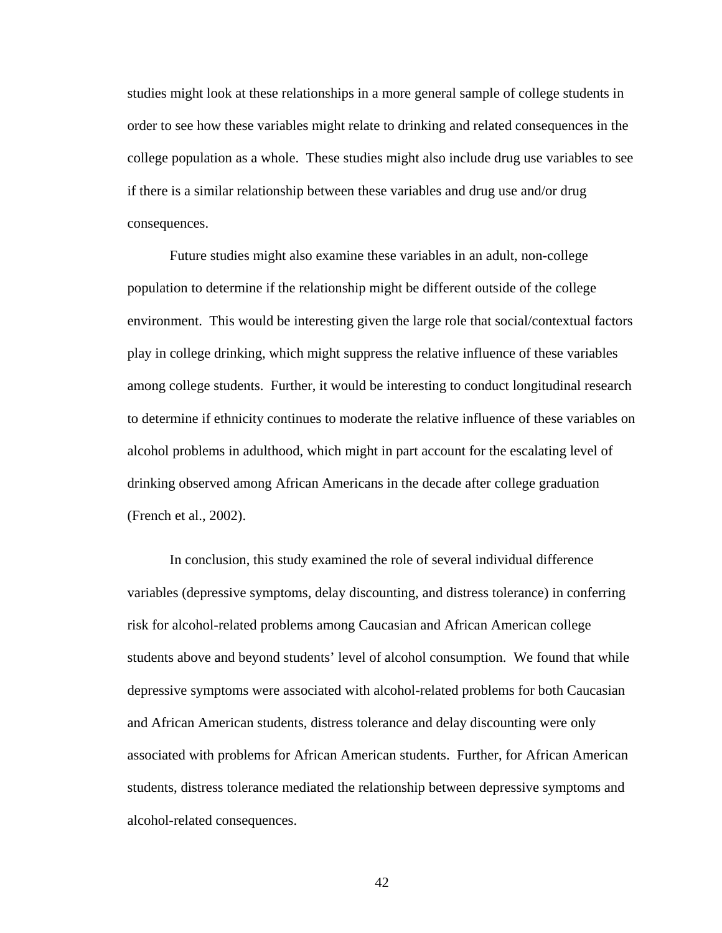studies might look at these relationships in a more general sample of college students in order to see how these variables might relate to drinking and related consequences in the college population as a whole. These studies might also include drug use variables to see if there is a similar relationship between these variables and drug use and/or drug consequences.

Future studies might also examine these variables in an adult, non-college population to determine if the relationship might be different outside of the college environment. This would be interesting given the large role that social/contextual factors play in college drinking, which might suppress the relative influence of these variables among college students. Further, it would be interesting to conduct longitudinal research to determine if ethnicity continues to moderate the relative influence of these variables on alcohol problems in adulthood, which might in part account for the escalating level of drinking observed among African Americans in the decade after college graduation (French et al., 2002).

In conclusion, this study examined the role of several individual difference variables (depressive symptoms, delay discounting, and distress tolerance) in conferring risk for alcohol-related problems among Caucasian and African American college students above and beyond students' level of alcohol consumption. We found that while depressive symptoms were associated with alcohol-related problems for both Caucasian and African American students, distress tolerance and delay discounting were only associated with problems for African American students. Further, for African American students, distress tolerance mediated the relationship between depressive symptoms and alcohol-related consequences.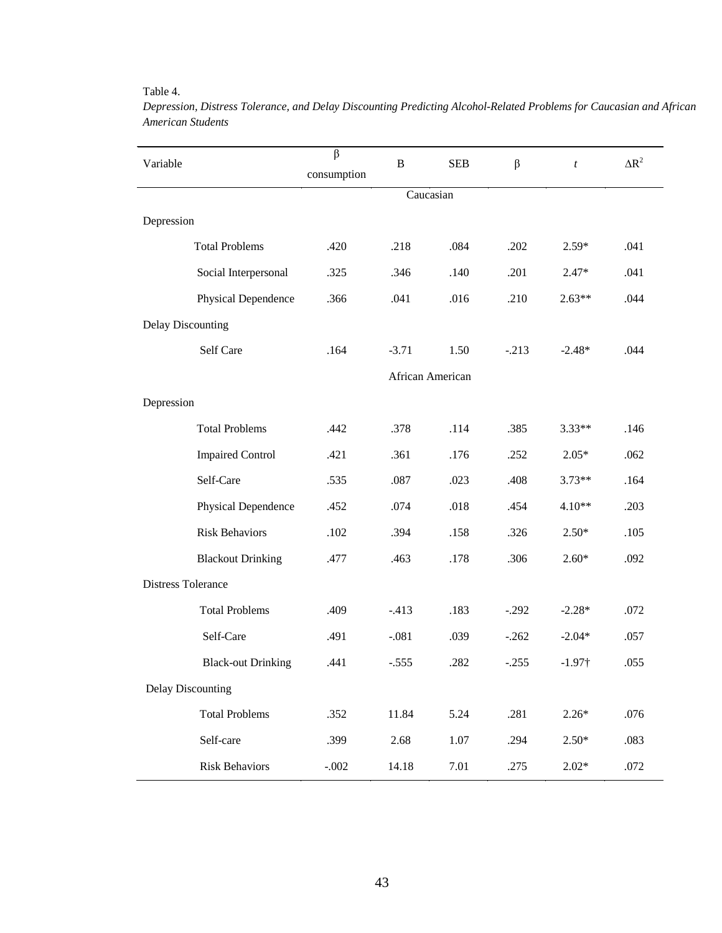#### Table 4.

| Variable                  |                           | $\overline{\beta}$ | $\, {\bf B}$ | <b>SEB</b>       | $\beta$ | $\boldsymbol{t}$ | $\Delta R^2$ |  |
|---------------------------|---------------------------|--------------------|--------------|------------------|---------|------------------|--------------|--|
|                           |                           | consumption        |              |                  |         |                  |              |  |
|                           |                           |                    |              | Caucasian        |         |                  |              |  |
| Depression                |                           |                    |              |                  |         |                  |              |  |
|                           | <b>Total Problems</b>     | .420               | .218         | .084             | .202    | $2.59*$          | .041         |  |
|                           | Social Interpersonal      | .325               | .346         | .140             | .201    | $2.47*$          | .041         |  |
|                           | Physical Dependence       | .366               | .041         | .016             | .210    | $2.63**$         | .044         |  |
| <b>Delay Discounting</b>  |                           |                    |              |                  |         |                  |              |  |
|                           | Self Care                 | .164               | $-3.71$      | 1.50             | $-.213$ | $-2.48*$         | .044         |  |
|                           |                           |                    |              | African American |         |                  |              |  |
| Depression                |                           |                    |              |                  |         |                  |              |  |
|                           | <b>Total Problems</b>     | .442               | .378         | .114             | .385    | $3.33**$         | .146         |  |
|                           | <b>Impaired Control</b>   | .421               | .361         | .176             | .252    | $2.05*$          | .062         |  |
|                           | Self-Care                 | .535               | .087         | .023             | .408    | $3.73**$         | .164         |  |
|                           | Physical Dependence       | .452               | .074         | .018             | .454    | $4.10**$         | .203         |  |
|                           | <b>Risk Behaviors</b>     | .102               | .394         | .158             | .326    | $2.50*$          | .105         |  |
|                           | <b>Blackout Drinking</b>  | .477               | .463         | .178             | .306    | $2.60*$          | .092         |  |
| <b>Distress Tolerance</b> |                           |                    |              |                  |         |                  |              |  |
|                           | <b>Total Problems</b>     | .409               | $-413$       | .183             | $-.292$ | $-2.28*$         | .072         |  |
|                           | Self-Care                 | .491               | $-.081$      | .039             | $-.262$ | $-2.04*$         | .057         |  |
|                           | <b>Black-out Drinking</b> | .441               | $-.555$      | .282             | $-.255$ | $-1.97\dagger$   | .055         |  |
| <b>Delay Discounting</b>  |                           |                    |              |                  |         |                  |              |  |
|                           | <b>Total Problems</b>     | .352               | 11.84        | 5.24             | .281    | $2.26*$          | .076         |  |
|                           | Self-care                 | .399               | 2.68         | 1.07             | .294    | $2.50*$          | .083         |  |
|                           | <b>Risk Behaviors</b>     | $-.002$            | 14.18        | 7.01             | .275    | $2.02*$          | .072         |  |

*Depression, Distress Tolerance, and Delay Discounting Predicting Alcohol-Related Problems for Caucasian and African American Students*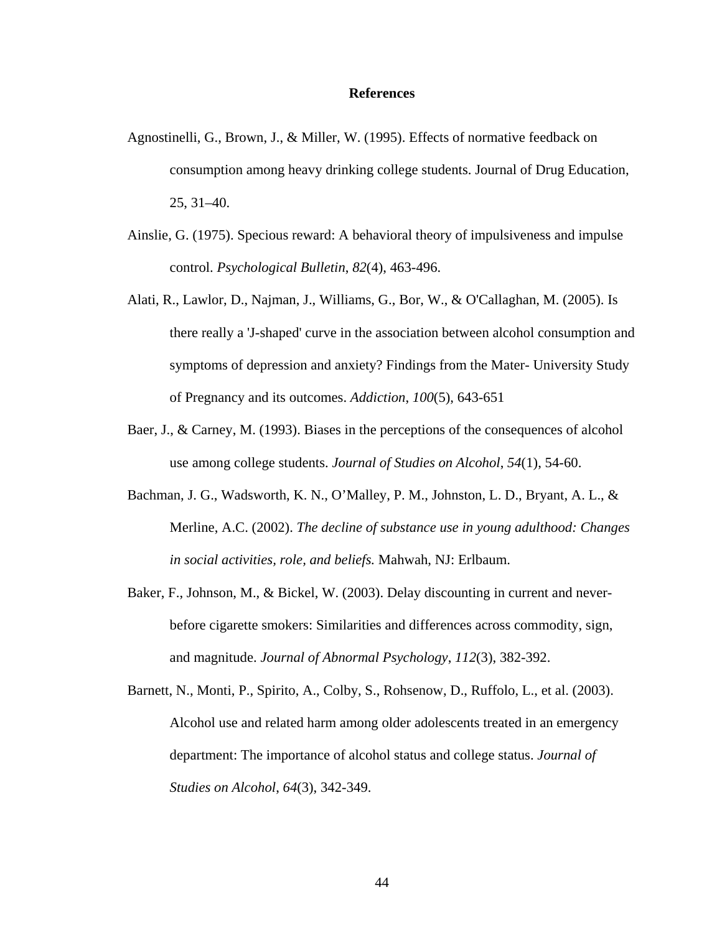#### **References**

- Agnostinelli, G., Brown, J., & Miller, W. (1995). Effects of normative feedback on consumption among heavy drinking college students. Journal of Drug Education, 25, 31–40.
- Ainslie, G. (1975). Specious reward: A behavioral theory of impulsiveness and impulse control. *Psychological Bulletin*, *82*(4), 463-496.
- Alati, R., Lawlor, D., Najman, J., Williams, G., Bor, W., & O'Callaghan, M. (2005). Is there really a 'J-shaped' curve in the association between alcohol consumption and symptoms of depression and anxiety? Findings from the Mater- University Study of Pregnancy and its outcomes. *Addiction*, *100*(5), 643-651
- Baer, J., & Carney, M. (1993). Biases in the perceptions of the consequences of alcohol use among college students. *Journal of Studies on Alcohol*, *54*(1), 54-60.
- Bachman, J. G., Wadsworth, K. N., O'Malley, P. M., Johnston, L. D., Bryant, A. L., & Merline, A.C. (2002). *The decline of substance use in young adulthood: Changes in social activities, role, and beliefs.* Mahwah, NJ: Erlbaum.
- Baker, F., Johnson, M., & Bickel, W. (2003). Delay discounting in current and neverbefore cigarette smokers: Similarities and differences across commodity, sign, and magnitude. *Journal of Abnormal Psychology*, *112*(3), 382-392.
- Barnett, N., Monti, P., Spirito, A., Colby, S., Rohsenow, D., Ruffolo, L., et al. (2003). Alcohol use and related harm among older adolescents treated in an emergency department: The importance of alcohol status and college status. *Journal of Studies on Alcohol*, *64*(3), 342-349.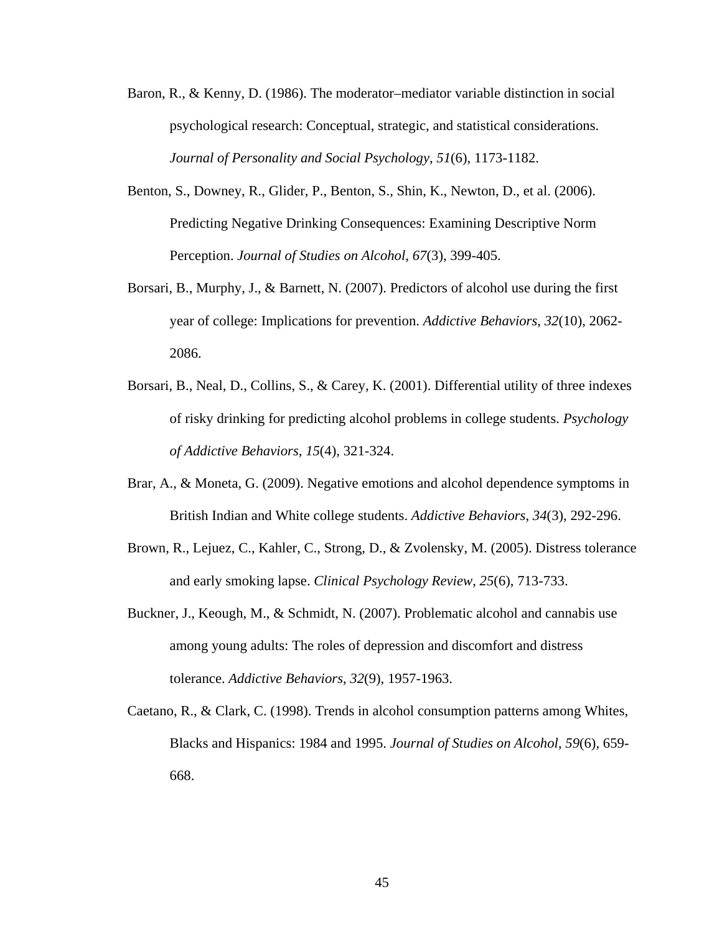- Baron, R., & Kenny, D. (1986). The moderator–mediator variable distinction in social psychological research: Conceptual, strategic, and statistical considerations. *Journal of Personality and Social Psychology*, *51*(6), 1173-1182.
- Benton, S., Downey, R., Glider, P., Benton, S., Shin, K., Newton, D., et al. (2006). Predicting Negative Drinking Consequences: Examining Descriptive Norm Perception. *Journal of Studies on Alcohol*, *67*(3), 399-405.
- Borsari, B., Murphy, J., & Barnett, N. (2007). Predictors of alcohol use during the first year of college: Implications for prevention. *Addictive Behaviors*, *32*(10), 2062- 2086.
- Borsari, B., Neal, D., Collins, S., & Carey, K. (2001). Differential utility of three indexes of risky drinking for predicting alcohol problems in college students. *Psychology of Addictive Behaviors*, *15*(4), 321-324.
- Brar, A., & Moneta, G. (2009). Negative emotions and alcohol dependence symptoms in British Indian and White college students. *Addictive Behaviors*, *34*(3), 292-296.
- Brown, R., Lejuez, C., Kahler, C., Strong, D., & Zvolensky, M. (2005). Distress tolerance and early smoking lapse. *Clinical Psychology Review*, *25*(6), 713-733.
- Buckner, J., Keough, M., & Schmidt, N. (2007). Problematic alcohol and cannabis use among young adults: The roles of depression and discomfort and distress tolerance. *Addictive Behaviors*, *32*(9), 1957-1963.
- Caetano, R., & Clark, C. (1998). Trends in alcohol consumption patterns among Whites, Blacks and Hispanics: 1984 and 1995. *Journal of Studies on Alcohol*, *59*(6), 659- 668.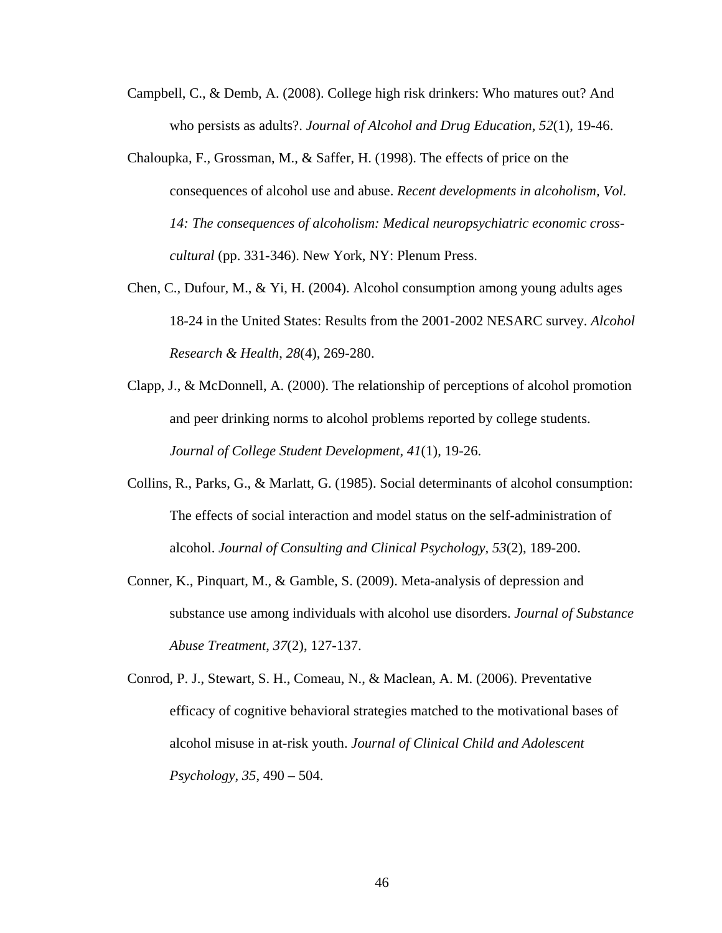- Campbell, C., & Demb, A. (2008). College high risk drinkers: Who matures out? And who persists as adults?. *Journal of Alcohol and Drug Education*, *52*(1), 19-46.
- Chaloupka, F., Grossman, M., & Saffer, H. (1998). The effects of price on the consequences of alcohol use and abuse. *Recent developments in alcoholism, Vol. 14: The consequences of alcoholism: Medical neuropsychiatric economic crosscultural* (pp. 331-346). New York, NY: Plenum Press.
- Chen, C., Dufour, M., & Yi, H. (2004). Alcohol consumption among young adults ages 18-24 in the United States: Results from the 2001-2002 NESARC survey. *Alcohol Research & Health*, *28*(4), 269-280.
- Clapp, J., & McDonnell, A. (2000). The relationship of perceptions of alcohol promotion and peer drinking norms to alcohol problems reported by college students. *Journal of College Student Development*, *41*(1), 19-26.
- Collins, R., Parks, G., & Marlatt, G. (1985). Social determinants of alcohol consumption: The effects of social interaction and model status on the self-administration of alcohol. *Journal of Consulting and Clinical Psychology*, *53*(2), 189-200.
- Conner, K., Pinquart, M., & Gamble, S. (2009). Meta-analysis of depression and substance use among individuals with alcohol use disorders. *Journal of Substance Abuse Treatment*, *37*(2), 127-137.

Conrod, P. J., Stewart, S. H., Comeau, N., & Maclean, A. M. (2006). Preventative efficacy of cognitive behavioral strategies matched to the motivational bases of alcohol misuse in at-risk youth. *Journal of Clinical Child and Adolescent Psychology*, *35*, 490 – 504.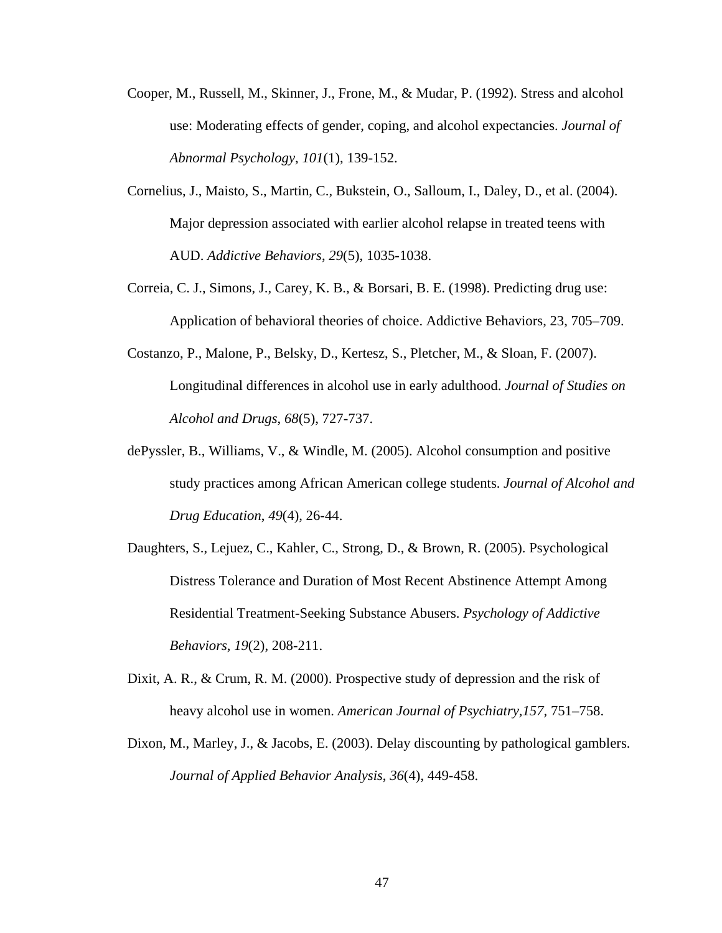- Cooper, M., Russell, M., Skinner, J., Frone, M., & Mudar, P. (1992). Stress and alcohol use: Moderating effects of gender, coping, and alcohol expectancies. *Journal of Abnormal Psychology*, *101*(1), 139-152.
- Cornelius, J., Maisto, S., Martin, C., Bukstein, O., Salloum, I., Daley, D., et al. (2004). Major depression associated with earlier alcohol relapse in treated teens with AUD. *Addictive Behaviors*, *29*(5), 1035-1038.
- Correia, C. J., Simons, J., Carey, K. B., & Borsari, B. E. (1998). Predicting drug use: Application of behavioral theories of choice. Addictive Behaviors, 23, 705–709.
- Costanzo, P., Malone, P., Belsky, D., Kertesz, S., Pletcher, M., & Sloan, F. (2007). Longitudinal differences in alcohol use in early adulthood. *Journal of Studies on Alcohol and Drugs*, *68*(5), 727-737.
- dePyssler, B., Williams, V., & Windle, M. (2005). Alcohol consumption and positive study practices among African American college students. *Journal of Alcohol and Drug Education*, *49*(4), 26-44.
- Daughters, S., Lejuez, C., Kahler, C., Strong, D., & Brown, R. (2005). Psychological Distress Tolerance and Duration of Most Recent Abstinence Attempt Among Residential Treatment-Seeking Substance Abusers. *Psychology of Addictive Behaviors*, *19*(2), 208-211.
- Dixit, A. R., & Crum, R. M. (2000). Prospective study of depression and the risk of heavy alcohol use in women. *American Journal of Psychiatry,157,* 751–758.
- Dixon, M., Marley, J., & Jacobs, E. (2003). Delay discounting by pathological gamblers. *Journal of Applied Behavior Analysis*, *36*(4), 449-458.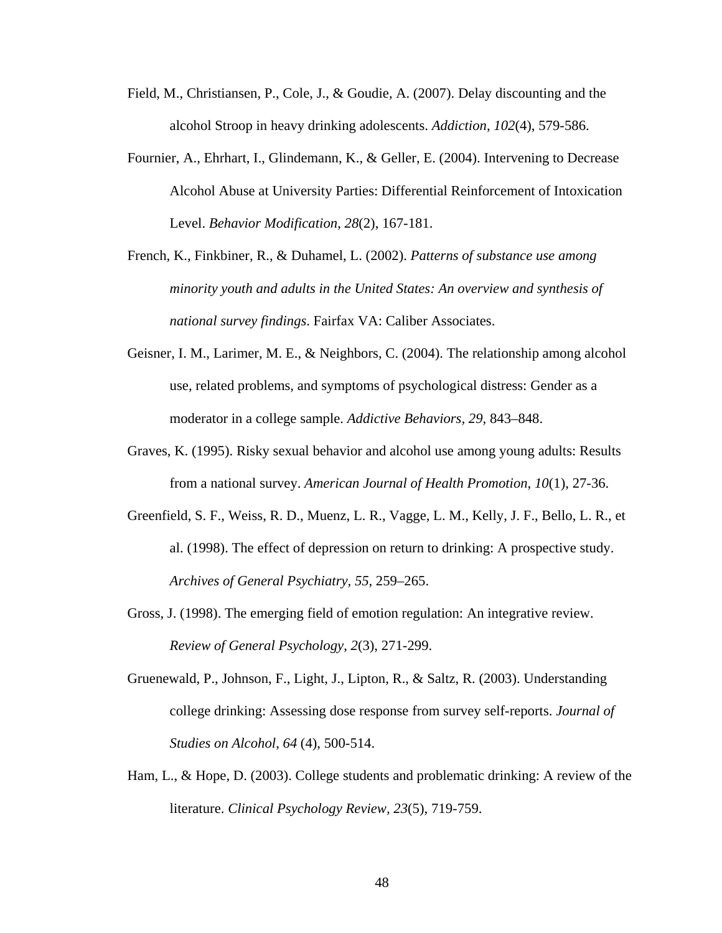- Field, M., Christiansen, P., Cole, J., & Goudie, A. (2007). Delay discounting and the alcohol Stroop in heavy drinking adolescents. *Addiction*, *102*(4), 579-586.
- Fournier, A., Ehrhart, I., Glindemann, K., & Geller, E. (2004). Intervening to Decrease Alcohol Abuse at University Parties: Differential Reinforcement of Intoxication Level. *Behavior Modification*, *28*(2), 167-181.
- French, K., Finkbiner, R., & Duhamel, L. (2002). *Patterns of substance use among minority youth and adults in the United States: An overview and synthesis of national survey findings*. Fairfax VA: Caliber Associates.
- Geisner, I. M., Larimer, M. E., & Neighbors, C. (2004). The relationship among alcohol use, related problems, and symptoms of psychological distress: Gender as a moderator in a college sample. *Addictive Behaviors, 29,* 843–848.
- Graves, K. (1995). Risky sexual behavior and alcohol use among young adults: Results from a national survey. *American Journal of Health Promotion*, *10*(1), 27-36.
- Greenfield, S. F., Weiss, R. D., Muenz, L. R., Vagge, L. M., Kelly, J. F., Bello, L. R., et al. (1998). The effect of depression on return to drinking: A prospective study. *Archives of General Psychiatry, 55,* 259–265.
- Gross, J. (1998). The emerging field of emotion regulation: An integrative review. *Review of General Psychology*, *2*(3), 271-299.
- Gruenewald, P., Johnson, F., Light, J., Lipton, R., & Saltz, R. (2003). Understanding college drinking: Assessing dose response from survey self-reports. *Journal of Studies on Alcohol*, *64* (4), 500-514.
- Ham, L., & Hope, D. (2003). College students and problematic drinking: A review of the literature. *Clinical Psychology Review, 23*(5), 719-759.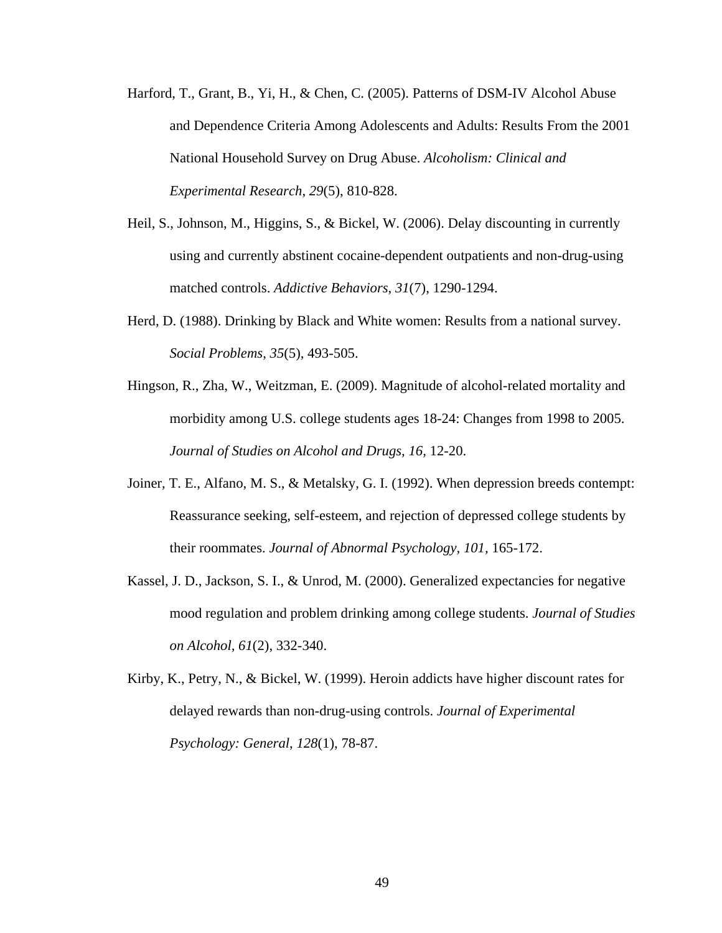- Harford, T., Grant, B., Yi, H., & Chen, C. (2005). Patterns of DSM-IV Alcohol Abuse and Dependence Criteria Among Adolescents and Adults: Results From the 2001 National Household Survey on Drug Abuse. *Alcoholism: Clinical and Experimental Research*, *29*(5), 810-828.
- Heil, S., Johnson, M., Higgins, S., & Bickel, W. (2006). Delay discounting in currently using and currently abstinent cocaine-dependent outpatients and non-drug-using matched controls. *Addictive Behaviors*, *31*(7), 1290-1294.
- Herd, D. (1988). Drinking by Black and White women: Results from a national survey. *Social Problems*, *35*(5), 493-505.
- Hingson, R., Zha, W., Weitzman, E. (2009). Magnitude of alcohol-related mortality and morbidity among U.S. college students ages 18-24: Changes from 1998 to 2005. *Journal of Studies on Alcohol and Drugs*, *16,* 12-20.
- Joiner, T. E., Alfano, M. S., & Metalsky, G. I. (1992). When depression breeds contempt: Reassurance seeking, self-esteem, and rejection of depressed college students by their roommates. *Journal of Abnormal Psychology, 101,* 165-172.
- Kassel, J. D., Jackson, S. I., & Unrod, M. (2000). Generalized expectancies for negative mood regulation and problem drinking among college students. *Journal of Studies on Alcohol, 61*(2), 332-340.
- Kirby, K., Petry, N., & Bickel, W. (1999). Heroin addicts have higher discount rates for delayed rewards than non-drug-using controls. *Journal of Experimental Psychology: General*, *128*(1), 78-87.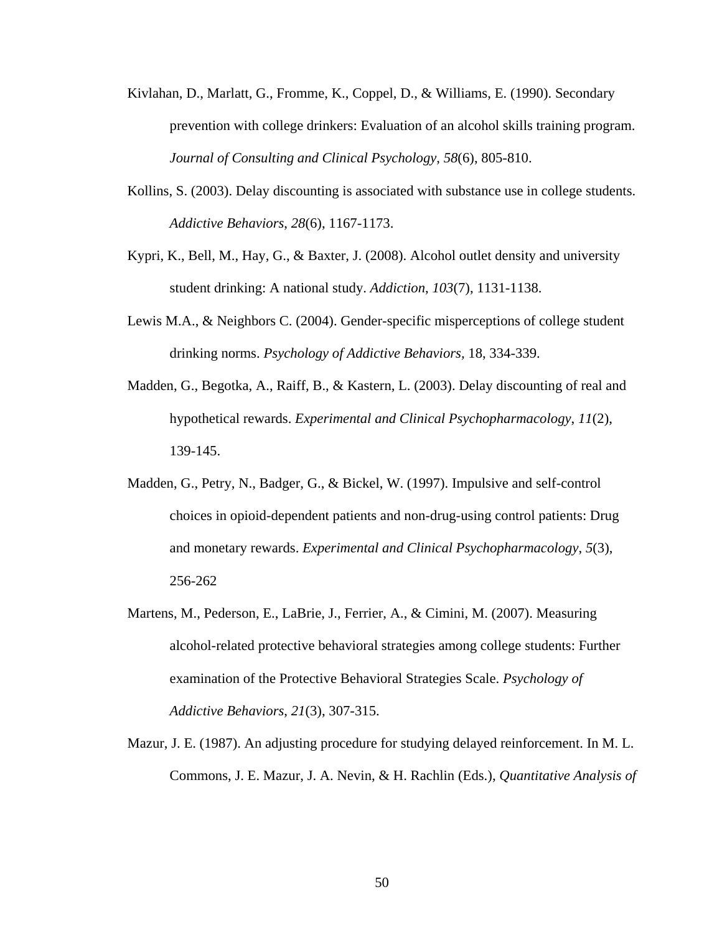- Kivlahan, D., Marlatt, G., Fromme, K., Coppel, D., & Williams, E. (1990). Secondary prevention with college drinkers: Evaluation of an alcohol skills training program. *Journal of Consulting and Clinical Psychology*, *58*(6), 805-810.
- Kollins, S. (2003). Delay discounting is associated with substance use in college students. *Addictive Behaviors*, *28*(6), 1167-1173.
- Kypri, K., Bell, M., Hay, G., & Baxter, J. (2008). Alcohol outlet density and university student drinking: A national study. *Addiction*, *103*(7), 1131-1138.
- Lewis M.A., & Neighbors C. (2004). Gender-specific misperceptions of college student drinking norms. *Psychology of Addictive Behaviors,* 18, 334-339.
- Madden, G., Begotka, A., Raiff, B., & Kastern, L. (2003). Delay discounting of real and hypothetical rewards. *Experimental and Clinical Psychopharmacology*, *11*(2), 139-145.
- Madden, G., Petry, N., Badger, G., & Bickel, W. (1997). Impulsive and self-control choices in opioid-dependent patients and non-drug-using control patients: Drug and monetary rewards. *Experimental and Clinical Psychopharmacology*, *5*(3), 256-262
- Martens, M., Pederson, E., LaBrie, J., Ferrier, A., & Cimini, M. (2007). Measuring alcohol-related protective behavioral strategies among college students: Further examination of the Protective Behavioral Strategies Scale. *Psychology of Addictive Behaviors*, *21*(3), 307-315.
- Mazur, J. E. (1987). An adjusting procedure for studying delayed reinforcement. In M. L. Commons, J. E. Mazur, J. A. Nevin, & H. Rachlin (Eds.), *Quantitative Analysis of*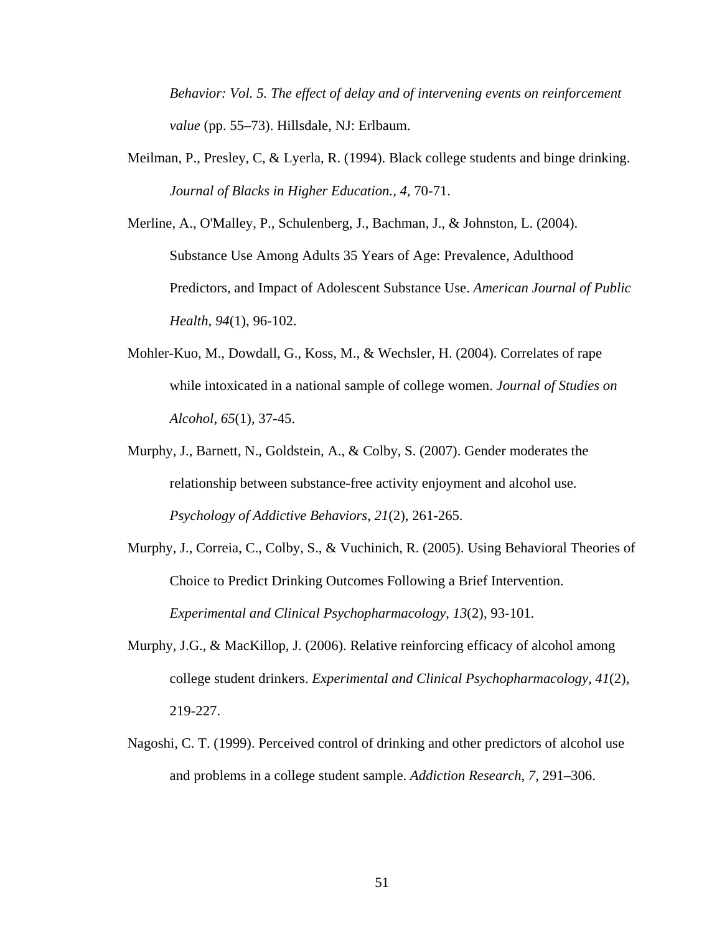*Behavior: Vol. 5. The effect of delay and of intervening events on reinforcement value* (pp. 55–73). Hillsdale, NJ: Erlbaum.

Meilman, P., Presley, C, & Lyerla, R. (1994). Black college students and binge drinking. *Journal of Blacks in Higher Education., 4,* 70-71.

Merline, A., O'Malley, P., Schulenberg, J., Bachman, J., & Johnston, L. (2004). Substance Use Among Adults 35 Years of Age: Prevalence, Adulthood Predictors, and Impact of Adolescent Substance Use. *American Journal of Public Health*, *94*(1), 96-102.

- Mohler-Kuo, M., Dowdall, G., Koss, M., & Wechsler, H. (2004). Correlates of rape while intoxicated in a national sample of college women. *Journal of Studies on Alcohol*, *65*(1), 37-45.
- Murphy, J., Barnett, N., Goldstein, A., & Colby, S. (2007). Gender moderates the relationship between substance-free activity enjoyment and alcohol use. *Psychology of Addictive Behaviors*, *21*(2), 261-265.
- Murphy, J., Correia, C., Colby, S., & Vuchinich, R. (2005). Using Behavioral Theories of Choice to Predict Drinking Outcomes Following a Brief Intervention. *Experimental and Clinical Psychopharmacology*, *13*(2), 93-101.
- Murphy, J.G., & MacKillop, J. (2006). Relative reinforcing efficacy of alcohol among college student drinkers. *Experimental and Clinical Psychopharmacology, 41*(2), 219-227.
- Nagoshi, C. T. (1999). Perceived control of drinking and other predictors of alcohol use and problems in a college student sample. *Addiction Research, 7,* 291–306.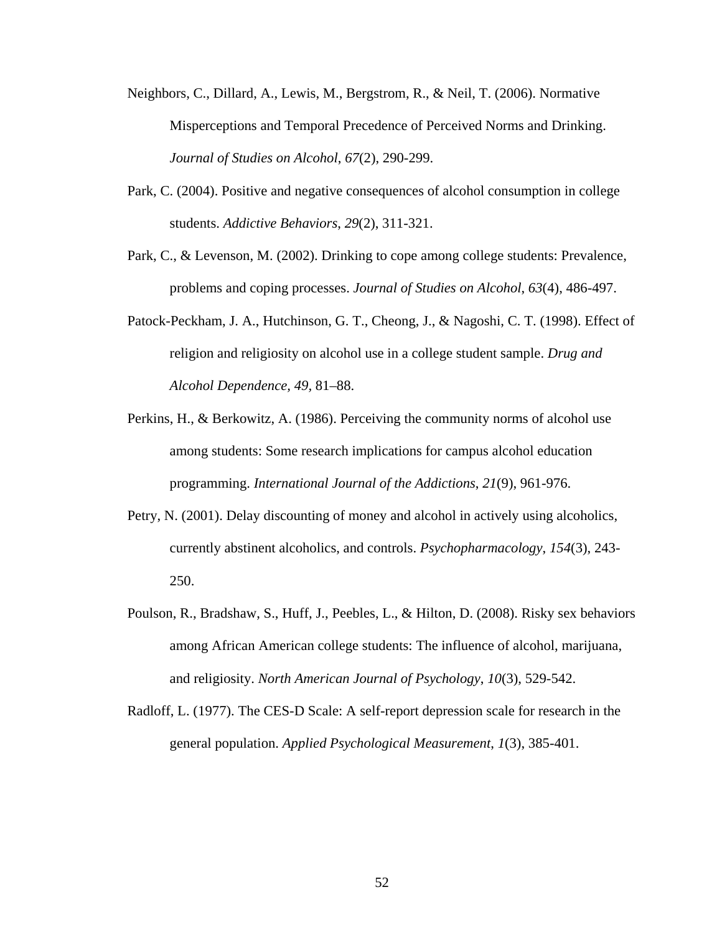- Neighbors, C., Dillard, A., Lewis, M., Bergstrom, R., & Neil, T. (2006). Normative Misperceptions and Temporal Precedence of Perceived Norms and Drinking. *Journal of Studies on Alcohol*, *67*(2), 290-299.
- Park, C. (2004). Positive and negative consequences of alcohol consumption in college students. *Addictive Behaviors*, *29*(2), 311-321.
- Park, C., & Levenson, M. (2002). Drinking to cope among college students: Prevalence, problems and coping processes. *Journal of Studies on Alcohol*, *63*(4), 486-497.
- Patock-Peckham, J. A., Hutchinson, G. T., Cheong, J., & Nagoshi, C. T. (1998). Effect of religion and religiosity on alcohol use in a college student sample. *Drug and Alcohol Dependence, 49,* 81–88.
- Perkins, H., & Berkowitz, A. (1986). Perceiving the community norms of alcohol use among students: Some research implications for campus alcohol education programming. *International Journal of the Addictions*, *21*(9), 961-976.
- Petry, N. (2001). Delay discounting of money and alcohol in actively using alcoholics, currently abstinent alcoholics, and controls. *Psychopharmacology*, *154*(3), 243- 250.
- Poulson, R., Bradshaw, S., Huff, J., Peebles, L., & Hilton, D. (2008). Risky sex behaviors among African American college students: The influence of alcohol, marijuana, and religiosity. *North American Journal of Psychology*, *10*(3), 529-542.
- Radloff, L. (1977). The CES-D Scale: A self-report depression scale for research in the general population. *Applied Psychological Measurement*, *1*(3), 385-401.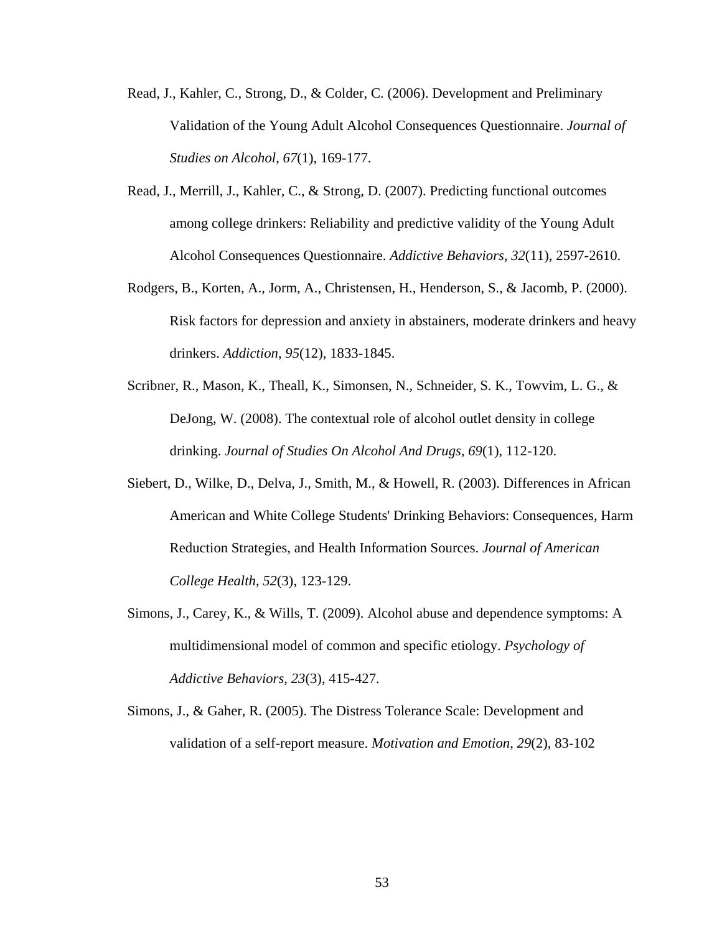- Read, J., Kahler, C., Strong, D., & Colder, C. (2006). Development and Preliminary Validation of the Young Adult Alcohol Consequences Questionnaire. *Journal of Studies on Alcohol*, *67*(1), 169-177.
- Read, J., Merrill, J., Kahler, C., & Strong, D. (2007). Predicting functional outcomes among college drinkers: Reliability and predictive validity of the Young Adult Alcohol Consequences Questionnaire. *Addictive Behaviors*, *32*(11), 2597-2610.
- Rodgers, B., Korten, A., Jorm, A., Christensen, H., Henderson, S., & Jacomb, P. (2000). Risk factors for depression and anxiety in abstainers, moderate drinkers and heavy drinkers. *Addiction*, *95*(12), 1833-1845.
- Scribner, R., Mason, K., Theall, K., Simonsen, N., Schneider, S. K., Towvim, L. G., & DeJong, W. (2008). The contextual role of alcohol outlet density in college drinking. *Journal of Studies On Alcohol And Drugs, 69*(1), 112-120.
- Siebert, D., Wilke, D., Delva, J., Smith, M., & Howell, R. (2003). Differences in African American and White College Students' Drinking Behaviors: Consequences, Harm Reduction Strategies, and Health Information Sources. *Journal of American College Health*, *52*(3), 123-129.
- Simons, J., Carey, K., & Wills, T. (2009). Alcohol abuse and dependence symptoms: A multidimensional model of common and specific etiology. *Psychology of Addictive Behaviors*, *23*(3), 415-427.
- Simons, J., & Gaher, R. (2005). The Distress Tolerance Scale: Development and validation of a self-report measure. *Motivation and Emotion*, *29*(2), 83-102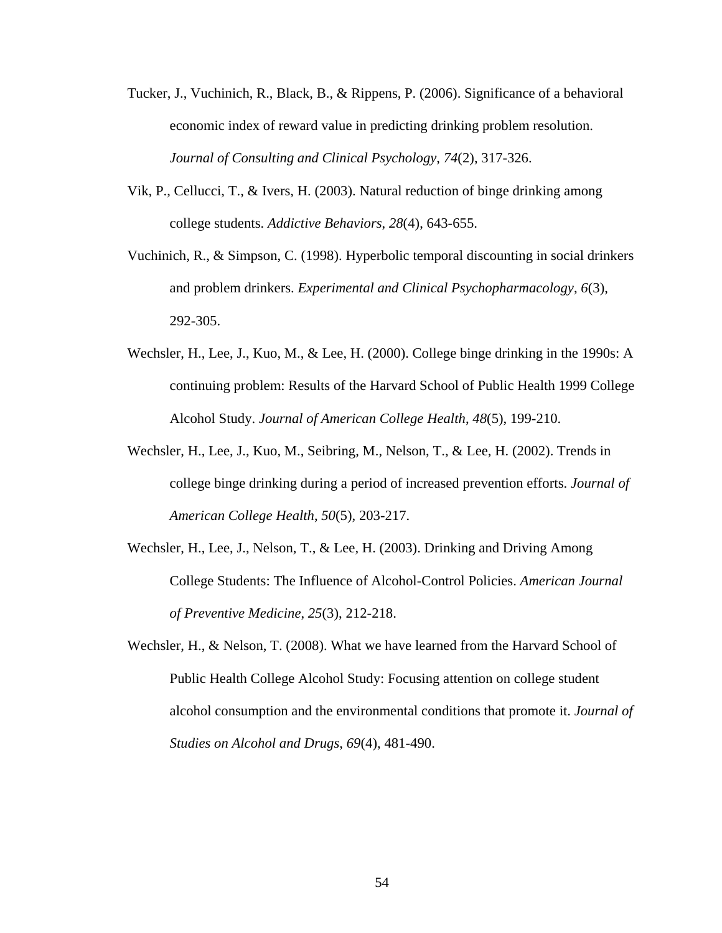- Tucker, J., Vuchinich, R., Black, B., & Rippens, P. (2006). Significance of a behavioral economic index of reward value in predicting drinking problem resolution. *Journal of Consulting and Clinical Psychology*, *74*(2), 317-326.
- Vik, P., Cellucci, T., & Ivers, H. (2003). Natural reduction of binge drinking among college students. *Addictive Behaviors*, *28*(4), 643-655.
- Vuchinich, R., & Simpson, C. (1998). Hyperbolic temporal discounting in social drinkers and problem drinkers. *Experimental and Clinical Psychopharmacology*, *6*(3), 292-305.
- Wechsler, H., Lee, J., Kuo, M., & Lee, H. (2000). College binge drinking in the 1990s: A continuing problem: Results of the Harvard School of Public Health 1999 College Alcohol Study. *Journal of American College Health*, *48*(5), 199-210.
- Wechsler, H., Lee, J., Kuo, M., Seibring, M., Nelson, T., & Lee, H. (2002). Trends in college binge drinking during a period of increased prevention efforts. *Journal of American College Health*, *50*(5), 203-217.
- Wechsler, H., Lee, J., Nelson, T., & Lee, H. (2003). Drinking and Driving Among College Students: The Influence of Alcohol-Control Policies. *American Journal of Preventive Medicine*, *25*(3), 212-218.
- Wechsler, H., & Nelson, T. (2008). What we have learned from the Harvard School of Public Health College Alcohol Study: Focusing attention on college student alcohol consumption and the environmental conditions that promote it. *Journal of Studies on Alcohol and Drugs*, *69*(4), 481-490.